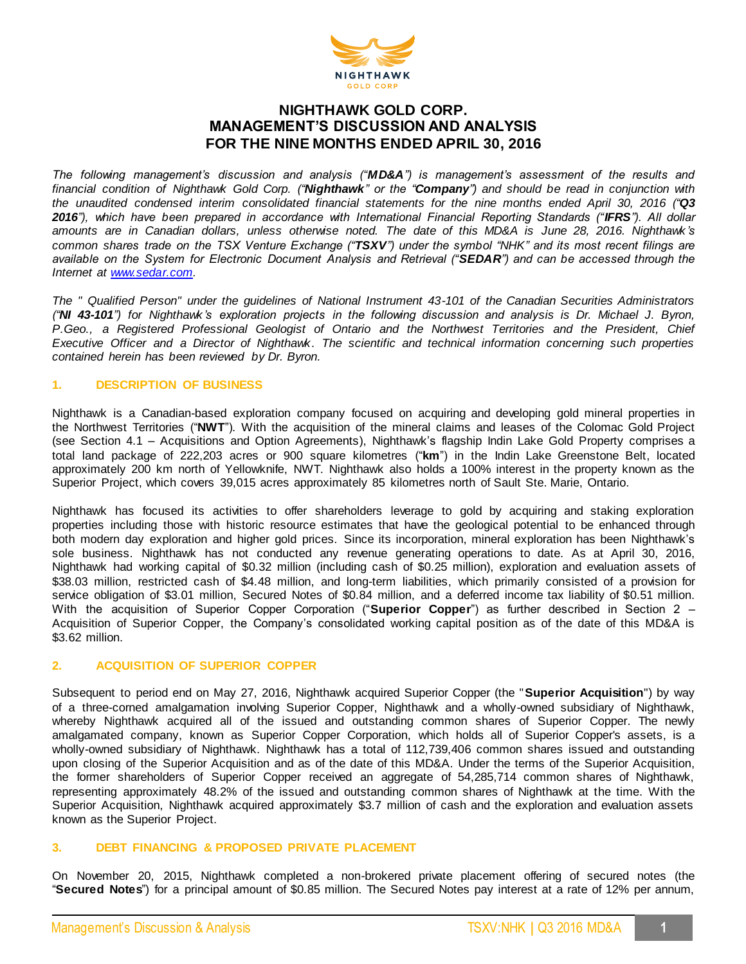

# **NIGHTHAWK GOLD CORP. MANAGEMENT'S DISCUSSION AND ANALYSIS FOR THE NINE MONTHS ENDED APRIL 30, 2016**

*The following management's discussion and analysis ("MD&A") is management's assessment of the results and financial condition of Nighthawk Gold Corp. ("Nighthawk" or the "Company") and should be read in conjunction with the unaudited condensed interim consolidated financial statements for the nine months ended April 30, 2016 ("Q3 2016"), which have been prepared in accordance with International Financial Reporting Standards ("IFRS"). All dollar amounts are in Canadian dollars, unless otherwise noted. The date of this MD&A is June 28, 2016. Nighthawk's common shares trade on the TSX Venture Exchange ("TSXV") under the symbol "NHK" and its most recent filings are available on the System for Electronic Document Analysis and Retrieval ("SEDAR") and can be accessed through the Internet at [www.sedar.com.](http://www.sedar.com/)*

*The " Qualified Person" under the guidelines of National Instrument 43-101 of the Canadian Securities Administrators ("NI 43-101") for Nighthawk's exploration projects in the following discussion and analysis is Dr. Michael J. Byron, P.Geo., a Registered Professional Geologist of Ontario and the Northwest Territories and the President, Chief Executive Officer and a Director of Nighthawk. The scientific and technical information concerning such properties contained herein has been reviewed by Dr. Byron.*

# **1. DESCRIPTION OF BUSINESS**

Nighthawk is a Canadian-based exploration company focused on acquiring and developing gold mineral properties in the Northwest Territories ("**NWT**"). With the acquisition of the mineral claims and leases of the Colomac Gold Project (see Section 4.1 – Acquisitions and Option Agreements), Nighthawk's flagship Indin Lake Gold Property comprises a total land package of 222,203 acres or 900 square kilometres ("**km**") in the Indin Lake Greenstone Belt, located approximately 200 km north of Yellowknife, NWT. Nighthawk also holds a 100% interest in the property known as the Superior Project, which covers 39,015 acres approximately 85 kilometres north of Sault Ste. Marie, Ontario.

Nighthawk has focused its activities to offer shareholders leverage to gold by acquiring and staking exploration properties including those with historic resource estimates that have the geological potential to be enhanced through both modern day exploration and higher gold prices. Since its incorporation, mineral exploration has been Nighthawk's sole business. Nighthawk has not conducted any revenue generating operations to date. As at April 30, 2016, Nighthawk had working capital of \$0.32 million (including cash of \$0.25 million), exploration and evaluation assets of \$38.03 million, restricted cash of \$4.48 million, and long-term liabilities, which primarily consisted of a provision for service obligation of \$3.01 million, Secured Notes of \$0.84 million, and a deferred income tax liability of \$0.51 million. With the acquisition of Superior Copper Corporation ("**Superior Copper**") as further described in Section 2 – Acquisition of Superior Copper, the Company's consolidated working capital position as of the date of this MD&A is \$3.62 million.

# **2. ACQUISITION OF SUPERIOR COPPER**

Subsequent to period end on May 27, 2016, Nighthawk acquired Superior Copper (the "**Superior Acquisition**") by way of a three-corned amalgamation involving Superior Copper, Nighthawk and a wholly-owned subsidiary of Nighthawk, whereby Nighthawk acquired all of the issued and outstanding common shares of Superior Copper. The newly amalgamated company, known as Superior Copper Corporation, which holds all of Superior Copper's assets, is a wholly-owned subsidiary of Nighthawk. Nighthawk has a total of 112,739,406 common shares issued and outstanding upon closing of the Superior Acquisition and as of the date of this MD&A. Under the terms of the Superior Acquisition, the former shareholders of Superior Copper received an aggregate of 54,285,714 common shares of Nighthawk, representing approximately 48.2% of the issued and outstanding common shares of Nighthawk at the time. With the Superior Acquisition, Nighthawk acquired approximately \$3.7 million of cash and the exploration and evaluation assets known as the Superior Project.

# **3. DEBT FINANCING & PROPOSED PRIVATE PLACEMENT**

On November 20, 2015, Nighthawk completed a non-brokered private placement offering of secured notes (the "**Secured Notes**") for a principal amount of \$0.85 million. The Secured Notes pay interest at a rate of 12% per annum,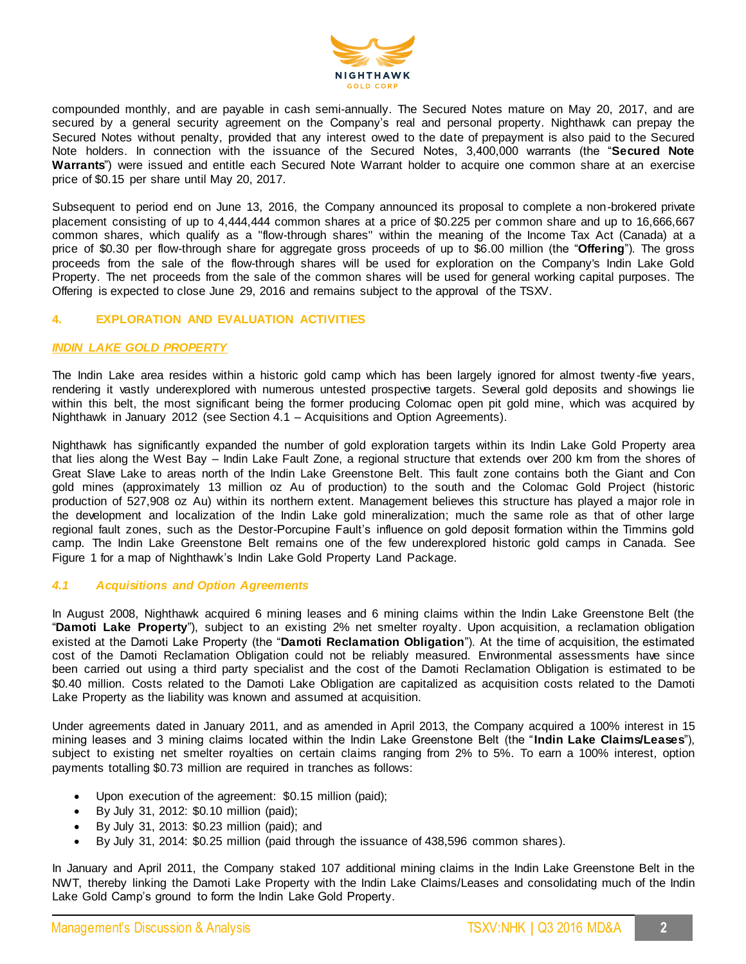

compounded monthly, and are payable in cash semi-annually. The Secured Notes mature on May 20, 2017, and are secured by a general security agreement on the Company's real and personal property. Nighthawk can prepay the Secured Notes without penalty, provided that any interest owed to the date of prepayment is also paid to the Secured Note holders. In connection with the issuance of the Secured Notes, 3,400,000 warrants (the "**Secured Note Warrants**") were issued and entitle each Secured Note Warrant holder to acquire one common share at an exercise price of \$0.15 per share until May 20, 2017.

Subsequent to period end on June 13, 2016, the Company announced its proposal to complete a non-brokered private placement consisting of up to 4,444,444 common shares at a price of \$0.225 per common share and up to 16,666,667 common shares, which qualify as a "flow-through shares" within the meaning of the Income Tax Act (Canada) at a price of \$0.30 per flow-through share for aggregate gross proceeds of up to \$6.00 million (the "**Offering**"). The gross proceeds from the sale of the flow-through shares will be used for exploration on the Company's Indin Lake Gold Property. The net proceeds from the sale of the common shares will be used for general working capital purposes. The Offering is expected to close June 29, 2016 and remains subject to the approval of the TSXV.

# **4. EXPLORATION AND EVALUATION ACTIVITIES**

#### *INDIN LAKE GOLD PROPERTY*

The Indin Lake area resides within a historic gold camp which has been largely ignored for almost twenty -five years, rendering it vastly underexplored with numerous untested prospective targets. Several gold deposits and showings lie within this belt, the most significant being the former producing Colomac open pit gold mine, which was acquired by Nighthawk in January 2012 (see Section 4.1 – Acquisitions and Option Agreements).

Nighthawk has significantly expanded the number of gold exploration targets within its Indin Lake Gold Property area that lies along the West Bay – Indin Lake Fault Zone, a regional structure that extends over 200 km from the shores of Great Slave Lake to areas north of the Indin Lake Greenstone Belt. This fault zone contains both the Giant and Con gold mines (approximately 13 million oz Au of production) to the south and the Colomac Gold Project (historic production of 527,908 oz Au) within its northern extent. Management believes this structure has played a major role in the development and localization of the Indin Lake gold mineralization; much the same role as that of other large regional fault zones, such as the Destor-Porcupine Fault's influence on gold deposit formation within the Timmins gold camp. The Indin Lake Greenstone Belt remains one of the few underexplored historic gold camps in Canada. See Figure 1 for a map of Nighthawk's Indin Lake Gold Property Land Package.

# *4.1 Acquisitions and Option Agreements*

In August 2008, Nighthawk acquired 6 mining leases and 6 mining claims within the Indin Lake Greenstone Belt (the "**Damoti Lake Property**"), subject to an existing 2% net smelter royalty. Upon acquisition, a reclamation obligation existed at the Damoti Lake Property (the "**Damoti Reclamation Obligation**"). At the time of acquisition, the estimated cost of the Damoti Reclamation Obligation could not be reliably measured. Environmental assessments have since been carried out using a third party specialist and the cost of the Damoti Reclamation Obligation is estimated to be \$0.40 million. Costs related to the Damoti Lake Obligation are capitalized as acquisition costs related to the Damoti Lake Property as the liability was known and assumed at acquisition.

Under agreements dated in January 2011, and as amended in April 2013, the Company acquired a 100% interest in 15 mining leases and 3 mining claims located within the Indin Lake Greenstone Belt (the "**Indin Lake Claims/Leases**"), subject to existing net smelter royalties on certain claims ranging from 2% to 5%. To earn a 100% interest, option payments totalling \$0.73 million are required in tranches as follows:

- Upon execution of the agreement: \$0.15 million (paid);
- By July 31, 2012: \$0.10 million (paid);
- By July 31, 2013: \$0.23 million (paid); and
- By July 31, 2014: \$0.25 million (paid through the issuance of 438,596 common shares).

In January and April 2011, the Company staked 107 additional mining claims in the Indin Lake Greenstone Belt in the NWT, thereby linking the Damoti Lake Property with the Indin Lake Claims/Leases and consolidating much of the Indin Lake Gold Camp's ground to form the Indin Lake Gold Property.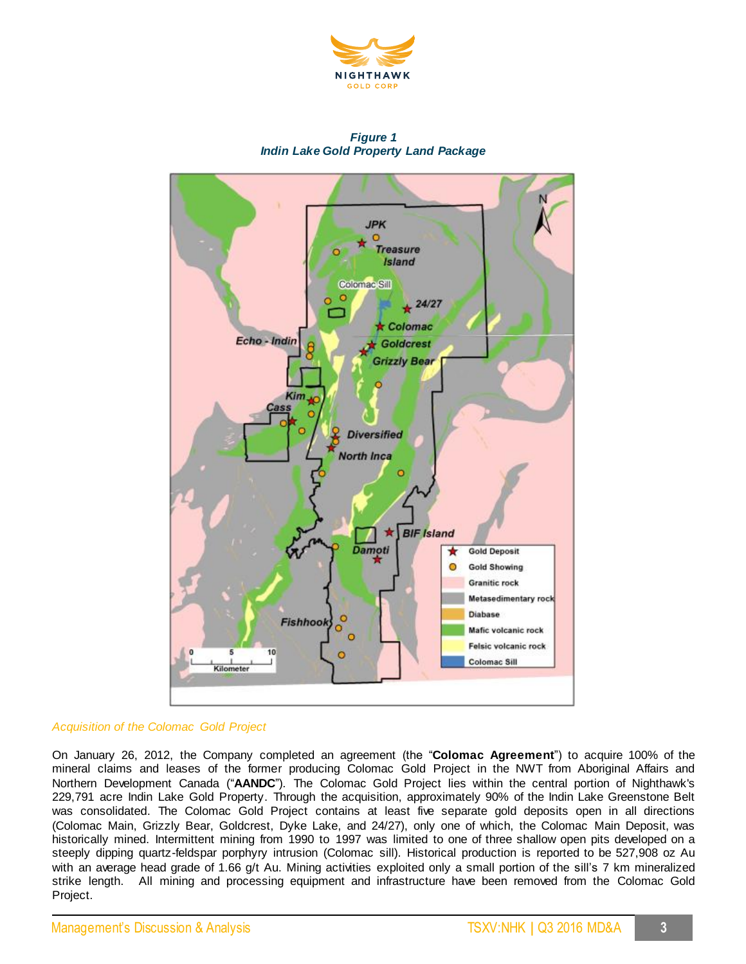

# *Figure 1 Indin Lake Gold Property Land Package*



# *Acquisition of the Colomac Gold Project*

On January 26, 2012, the Company completed an agreement (the "**Colomac Agreement**") to acquire 100% of the mineral claims and leases of the former producing Colomac Gold Project in the NWT from Aboriginal Affairs and Northern Development Canada ("**AANDC**"). The Colomac Gold Project lies within the central portion of Nighthawk's 229,791 acre Indin Lake Gold Property. Through the acquisition, approximately 90% of the Indin Lake Greenstone Belt was consolidated. The Colomac Gold Project contains at least five separate gold deposits open in all directions (Colomac Main, Grizzly Bear, Goldcrest, Dyke Lake, and 24/27), only one of which, the Colomac Main Deposit, was historically mined. Intermittent mining from 1990 to 1997 was limited to one of three shallow open pits developed on a steeply dipping quartz-feldspar porphyry intrusion (Colomac sill). Historical production is reported to be 527,908 oz Au with an average head grade of 1.66 g/t Au. Mining activities exploited only a small portion of the sill's 7 km mineralized strike length. All mining and processing equipment and infrastructure have been removed from the Colomac Gold Project.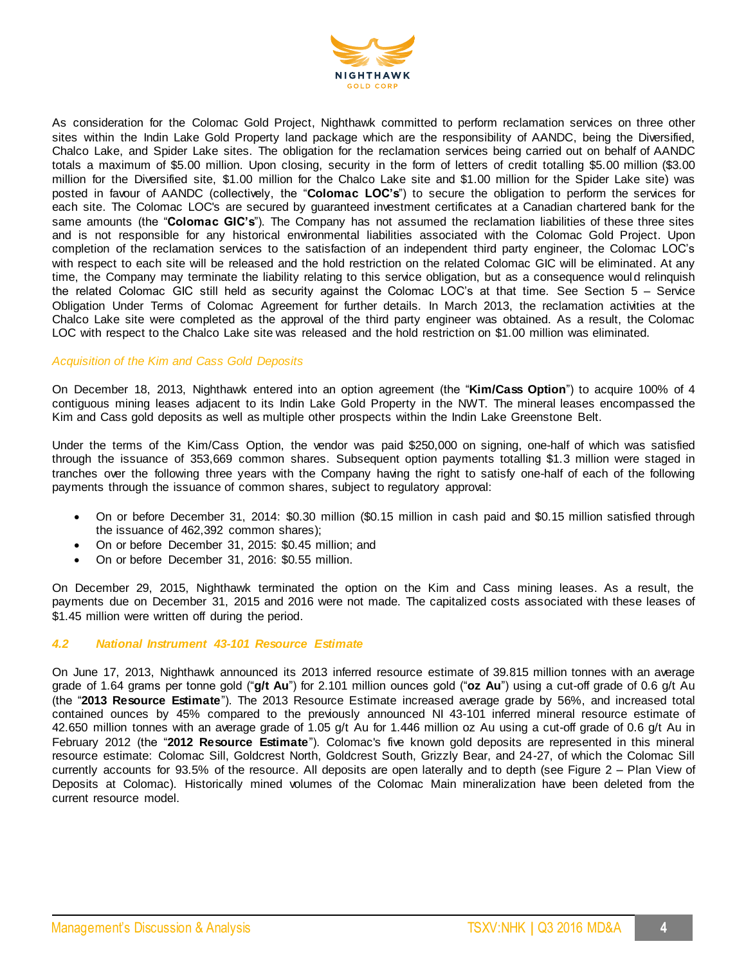

As consideration for the Colomac Gold Project, Nighthawk committed to perform reclamation services on three other sites within the Indin Lake Gold Property land package which are the responsibility of AANDC, being the Diversified, Chalco Lake, and Spider Lake sites. The obligation for the reclamation services being carried out on behalf of AANDC totals a maximum of \$5.00 million. Upon closing, security in the form of letters of credit totalling \$5.00 million (\$3.00 million for the Diversified site, \$1.00 million for the Chalco Lake site and \$1.00 million for the Spider Lake site) was posted in favour of AANDC (collectively, the "**Colomac LOC's**") to secure the obligation to perform the services for each site. The Colomac LOC's are secured by guaranteed investment certificates at a Canadian chartered bank for the same amounts (the "**Colomac GIC's**"). The Company has not assumed the reclamation liabilities of these three sites and is not responsible for any historical environmental liabilities associated with the Colomac Gold Project. Upon completion of the reclamation services to the satisfaction of an independent third party engineer, the Colomac LOC's with respect to each site will be released and the hold restriction on the related Colomac GIC will be eliminated. At any time, the Company may terminate the liability relating to this service obligation, but as a consequence would relinquish the related Colomac GIC still held as security against the Colomac LOC's at that time. See Section 5 – Service Obligation Under Terms of Colomac Agreement for further details. In March 2013, the reclamation activities at the Chalco Lake site were completed as the approval of the third party engineer was obtained. As a result, the Colomac LOC with respect to the Chalco Lake site was released and the hold restriction on \$1.00 million was eliminated.

# *Acquisition of the Kim and Cass Gold Deposits*

On December 18, 2013, Nighthawk entered into an option agreement (the "**Kim/Cass Option**") to acquire 100% of 4 contiguous mining leases adjacent to its Indin Lake Gold Property in the NWT. The mineral leases encompassed the Kim and Cass gold deposits as well as multiple other prospects within the Indin Lake Greenstone Belt.

Under the terms of the Kim/Cass Option, the vendor was paid \$250,000 on signing, one-half of which was satisfied through the issuance of 353,669 common shares. Subsequent option payments totalling \$1.3 million were staged in tranches over the following three years with the Company having the right to satisfy one-half of each of the following payments through the issuance of common shares, subject to regulatory approval:

- On or before December 31, 2014: \$0.30 million (\$0.15 million in cash paid and \$0.15 million satisfied through the issuance of 462,392 common shares);
- On or before December 31, 2015: \$0.45 million; and
- On or before December 31, 2016: \$0.55 million.

On December 29, 2015, Nighthawk terminated the option on the Kim and Cass mining leases. As a result, the payments due on December 31, 2015 and 2016 were not made. The capitalized costs associated with these leases of \$1.45 million were written off during the period.

### *4.2 National Instrument 43-101 Resource Estimate*

On June 17, 2013, Nighthawk announced its 2013 inferred resource estimate of 39.815 million tonnes with an average grade of 1.64 grams per tonne gold ("**g/t Au**") for 2.101 million ounces gold ("**oz Au**") using a cut-off grade of 0.6 g/t Au (the "**2013 Resource Estimate**"). The 2013 Resource Estimate increased average grade by 56%, and increased total contained ounces by 45% compared to the previously announced NI 43-101 inferred mineral resource estimate of 42.650 million tonnes with an average grade of 1.05 g/t Au for 1.446 million oz Au using a cut-off grade of 0.6 g/t Au in February 2012 (the "**2012 Resource Estimate**"). Colomac's five known gold deposits are represented in this mineral resource estimate: Colomac Sill, Goldcrest North, Goldcrest South, Grizzly Bear, and 24-27, of which the Colomac Sill currently accounts for 93.5% of the resource. All deposits are open laterally and to depth (see Figure 2 – Plan View of Deposits at Colomac). Historically mined volumes of the Colomac Main mineralization have been deleted from the current resource model.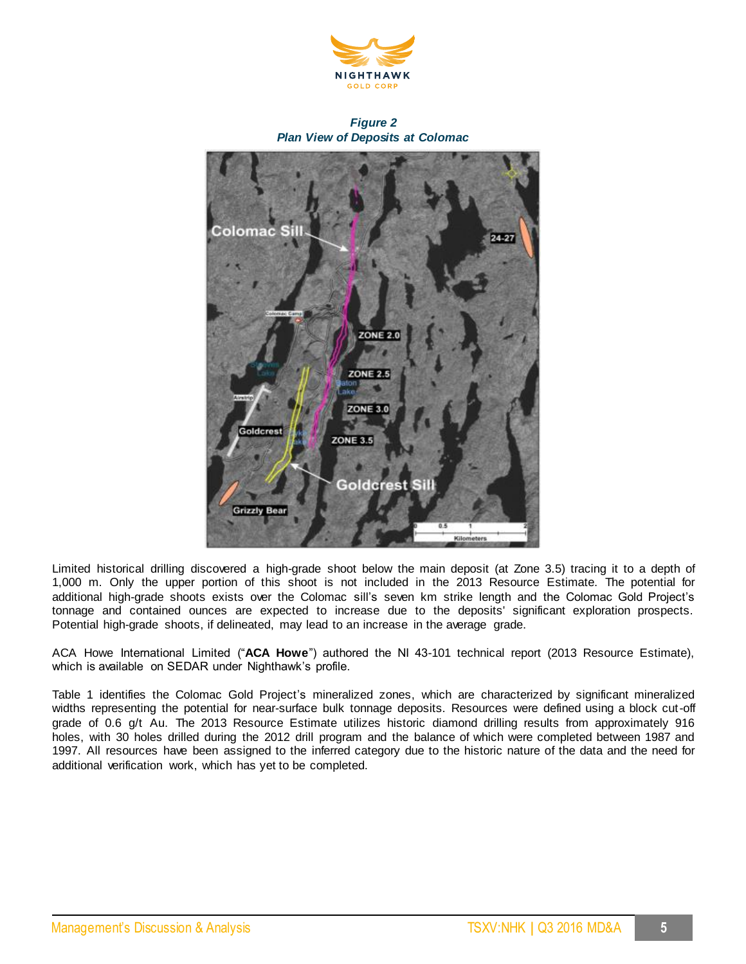



*Figure 2 Plan View of Deposits at Colomac*

Limited historical drilling discovered a high-grade shoot below the main deposit (at Zone 3.5) tracing it to a depth of 1,000 m. Only the upper portion of this shoot is not included in the 2013 Resource Estimate. The potential for additional high-grade shoots exists over the Colomac sill's seven km strike length and the Colomac Gold Project's tonnage and contained ounces are expected to increase due to the deposits' significant exploration prospects. Potential high-grade shoots, if delineated, may lead to an increase in the average grade.

ACA Howe International Limited ("**ACA Howe**") authored the NI 43-101 technical report (2013 Resource Estimate), which is available on SEDAR under Nighthawk's profile.

Table 1 identifies the Colomac Gold Project's mineralized zones, which are characterized by significant mineralized widths representing the potential for near-surface bulk tonnage deposits. Resources were defined using a block cut-off grade of 0.6 g/t Au. The 2013 Resource Estimate utilizes historic diamond drilling results from approximately 916 holes, with 30 holes drilled during the 2012 drill program and the balance of which were completed between 1987 and 1997. All resources have been assigned to the inferred category due to the historic nature of the data and the need for additional verification work, which has yet to be completed.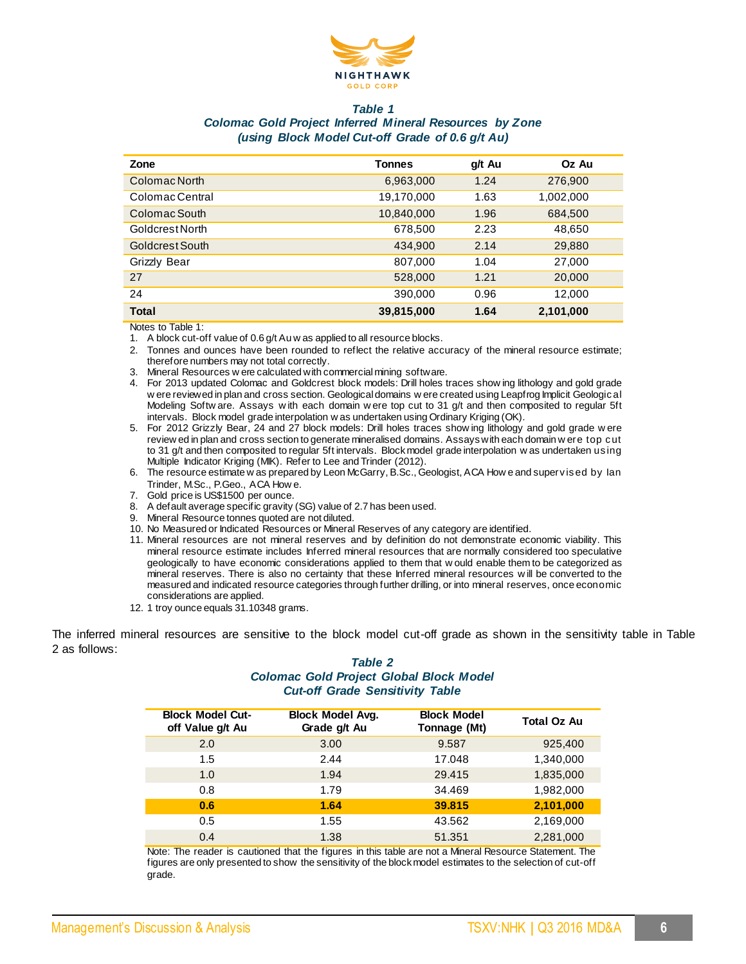

#### *Table 1*

# *Colomac Gold Project Inferred Mineral Resources by Zone (using Block Model Cut-off Grade of 0.6 g/t Au)*

| Zone            | Tonnes     | g/t Au | Oz Au     |
|-----------------|------------|--------|-----------|
| Colomac North   | 6,963,000  | 1.24   | 276,900   |
| Colomac Central | 19,170,000 | 1.63   | 1,002,000 |
| Colomac South   | 10,840,000 | 1.96   | 684,500   |
| Goldcrest North | 678,500    | 2.23   | 48,650    |
| Goldcrest South | 434,900    | 2.14   | 29,880    |
| Grizzly Bear    | 807,000    | 1.04   | 27,000    |
| 27              | 528,000    | 1.21   | 20,000    |
| 24              | 390,000    | 0.96   | 12,000    |
| <b>Total</b>    | 39,815,000 | 1.64   | 2,101,000 |

Notes to Table 1:

1. A block cut-off value of 0.6 g/t Au w as applied to all resource blocks.

- 2. Tonnes and ounces have been rounded to reflect the relative accuracy of the mineral resource estimate; therefore numbers may not total correctly.
- 3. Mineral Resources w ere calculated with commercial mining software.
- 4. For 2013 updated Colomac and Goldcrest block models: Drill holes traces show ing lithology and gold grade w ere reviewed in plan and cross section. Geological domains w ere created using Leapfrog Implicit Geological Modeling Softw are. Assays w ith each domain w ere top cut to 31 g/t and then composited to regular 5ft intervals. Block model grade interpolation w as undertaken using Ordinary Kriging (OK).
- 5. For 2012 Grizzly Bear, 24 and 27 block models: Drill holes traces show ing lithology and gold grade w ere review ed in plan and cross section to generate mineralised domains. Assays with each domain w ere top cut to 31 g/t and then composited to regular 5ft intervals. Block model grade interpolation w as undertaken using Multiple Indicator Kriging (MIK). Refer to Lee and Trinder (2012).
- 6. The resource estimate w as prepared by Leon McGarry, B.Sc., Geologist, ACA How e and supervised by Ian Trinder, M.Sc., P.Geo., ACA How e.
- 7. Gold price is US\$1500 per ounce.
- 8. A default average specific gravity (SG) value of 2.7 has been used.
- 9. Mineral Resource tonnes quoted are not diluted.
- 10. No Measured or Indicated Resources or Mineral Reserves of any category are identified.
- 11. Mineral resources are not mineral reserves and by definition do not demonstrate economic viability. This mineral resource estimate includes Inferred mineral resources that are normally considered too speculative geologically to have economic considerations applied to them that w ould enable them to be categorized as mineral reserves. There is also no certainty that these Inferred mineral resources w ill be converted to the measured and indicated resource categories through further drilling, or into mineral reserves, once economic considerations are applied.
- 12. 1 troy ounce equals 31.10348 grams.

The inferred mineral resources are sensitive to the block model cut-off grade as shown in the sensitivity table in Table 2 as follows:

# *Table 2 Colomac Gold Project Global Block Model Cut-off Grade Sensitivity Table*

| <b>Block Model Cut-</b><br>off Value g/t Au | <b>Block Model Avg.</b><br>Grade g/t Au | <b>Block Model</b><br>Tonnage (Mt) | <b>Total Oz Au</b> |
|---------------------------------------------|-----------------------------------------|------------------------------------|--------------------|
| 2.0                                         | 3.00                                    | 9.587                              | 925,400            |
| 1.5                                         | 2.44                                    | 17.048                             | 1,340,000          |
| 1.0                                         | 1.94                                    | 29.415                             | 1,835,000          |
| 0.8                                         | 1.79                                    | 34.469                             | 1,982,000          |
| 0.6                                         | 1.64                                    | 39.815                             | 2,101,000          |
| 0.5                                         | 1.55                                    | 43.562                             | 2,169,000          |
| 0.4                                         | 1.38                                    | 51.351                             | 2,281,000          |

Note: The reader is cautioned that the figures in this table are not a Mineral Resource Statement. The figures are only presented to show the sensitivity of the block model estimates to the selection of cut-off grade.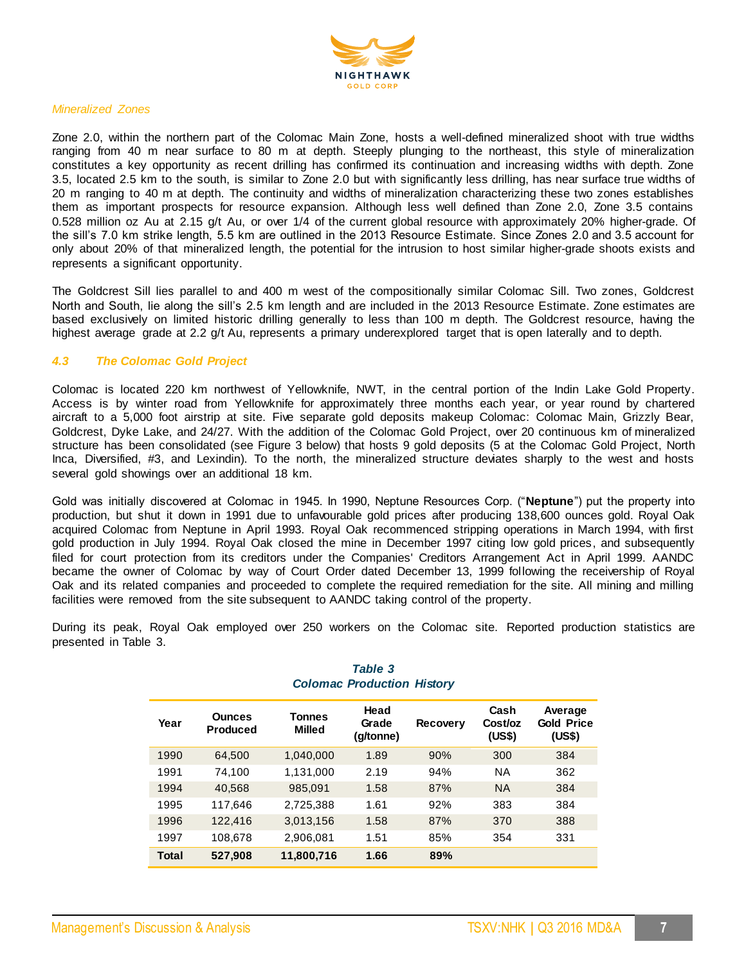

#### *Mineralized Zones*

Zone 2.0, within the northern part of the Colomac Main Zone, hosts a well-defined mineralized shoot with true widths ranging from 40 m near surface to 80 m at depth. Steeply plunging to the northeast, this style of mineralization constitutes a key opportunity as recent drilling has confirmed its continuation and increasing widths with depth. Zone 3.5, located 2.5 km to the south, is similar to Zone 2.0 but with significantly less drilling, has near surface true widths of 20 m ranging to 40 m at depth. The continuity and widths of mineralization characterizing these two zones establishes them as important prospects for resource expansion. Although less well defined than Zone 2.0, Zone 3.5 contains 0.528 million oz Au at 2.15 g/t Au, or over 1/4 of the current global resource with approximately 20% higher-grade. Of the sill's 7.0 km strike length, 5.5 km are outlined in the 2013 Resource Estimate. Since Zones 2.0 and 3.5 account for only about 20% of that mineralized length, the potential for the intrusion to host similar higher-grade shoots exists and represents a significant opportunity.

The Goldcrest Sill lies parallel to and 400 m west of the compositionally similar Colomac Sill. Two zones, Goldcrest North and South, lie along the sill's 2.5 km length and are included in the 2013 Resource Estimate. Zone estimates are based exclusively on limited historic drilling generally to less than 100 m depth. The Goldcrest resource, having the highest average grade at 2.2 g/t Au, represents a primary underexplored target that is open laterally and to depth.

# *4.3 The Colomac Gold Project*

Colomac is located 220 km northwest of Yellowknife, NWT, in the central portion of the Indin Lake Gold Property. Access is by winter road from Yellowknife for approximately three months each year, or year round by chartered aircraft to a 5,000 foot airstrip at site. Five separate gold deposits makeup Colomac: Colomac Main, Grizzly Bear, Goldcrest, Dyke Lake, and 24/27. With the addition of the Colomac Gold Project, over 20 continuous km of mineralized structure has been consolidated (see Figure 3 below) that hosts 9 gold deposits (5 at the Colomac Gold Project, North Inca, Diversified, #3, and Lexindin). To the north, the mineralized structure deviates sharply to the west and hosts several gold showings over an additional 18 km.

Gold was initially discovered at Colomac in 1945. In 1990, Neptune Resources Corp. ("**Neptune**") put the property into production, but shut it down in 1991 due to unfavourable gold prices after producing 138,600 ounces gold. Royal Oak acquired Colomac from Neptune in April 1993. Royal Oak recommenced stripping operations in March 1994, with first gold production in July 1994. Royal Oak closed the mine in December 1997 citing low gold prices, and subsequently filed for court protection from its creditors under the Companies' Creditors Arrangement Act in April 1999. AANDC became the owner of Colomac by way of Court Order dated December 13, 1999 following the receivership of Royal Oak and its related companies and proceeded to complete the required remediation for the site. All mining and milling facilities were removed from the site subsequent to AANDC taking control of the property.

During its peak, Royal Oak employed over 250 workers on the Colomac site. Reported production statistics are presented in Table 3.

| Year  | <b>Ounces</b><br>Produced | Tonnes<br><b>Milled</b> | Head<br>Grade<br>(g/tonne) | <b>Recovery</b> | Cash<br>Cost/oz<br>(US\$) | Average<br><b>Gold Price</b><br>(US\$) |
|-------|---------------------------|-------------------------|----------------------------|-----------------|---------------------------|----------------------------------------|
| 1990  | 64,500                    | 1,040,000               | 1.89                       | 90%             | 300                       | 384                                    |
| 1991  | 74,100                    | 1,131,000               | 2.19                       | 94%             | <b>NA</b>                 | 362                                    |
| 1994  | 40,568                    | 985,091                 | 1.58                       | 87%             | <b>NA</b>                 | 384                                    |
| 1995  | 117,646                   | 2,725,388               | 1.61                       | 92%             | 383                       | 384                                    |
| 1996  | 122,416                   | 3,013,156               | 1.58                       | 87%             | 370                       | 388                                    |
| 1997  | 108,678                   | 2,906,081               | 1.51                       | 85%             | 354                       | 331                                    |
| Total | 527,908                   | 11,800,716              | 1.66                       | 89%             |                           |                                        |

# *Table 3 Colomac Production History*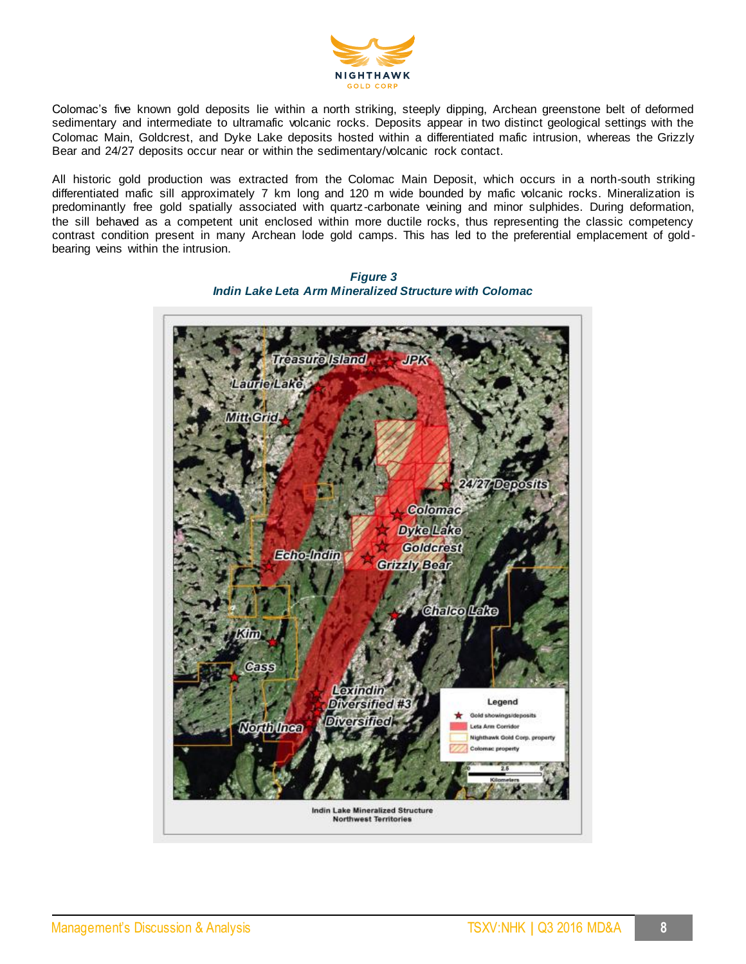

Colomac's five known gold deposits lie within a north striking, steeply dipping, Archean greenstone belt of deformed sedimentary and intermediate to ultramafic volcanic rocks. Deposits appear in two distinct geological settings with the Colomac Main, Goldcrest, and Dyke Lake deposits hosted within a differentiated mafic intrusion, whereas the Grizzly Bear and 24/27 deposits occur near or within the sedimentary/volcanic rock contact.

All historic gold production was extracted from the Colomac Main Deposit, which occurs in a north-south striking differentiated mafic sill approximately 7 km long and 120 m wide bounded by mafic volcanic rocks. Mineralization is predominantly free gold spatially associated with quartz-carbonate veining and minor sulphides. During deformation, the sill behaved as a competent unit enclosed within more ductile rocks, thus representing the classic competency contrast condition present in many Archean lode gold camps. This has led to the preferential emplacement of goldbearing veins within the intrusion.



*Figure 3 Indin Lake Leta Arm Mineralized Structure with Colomac*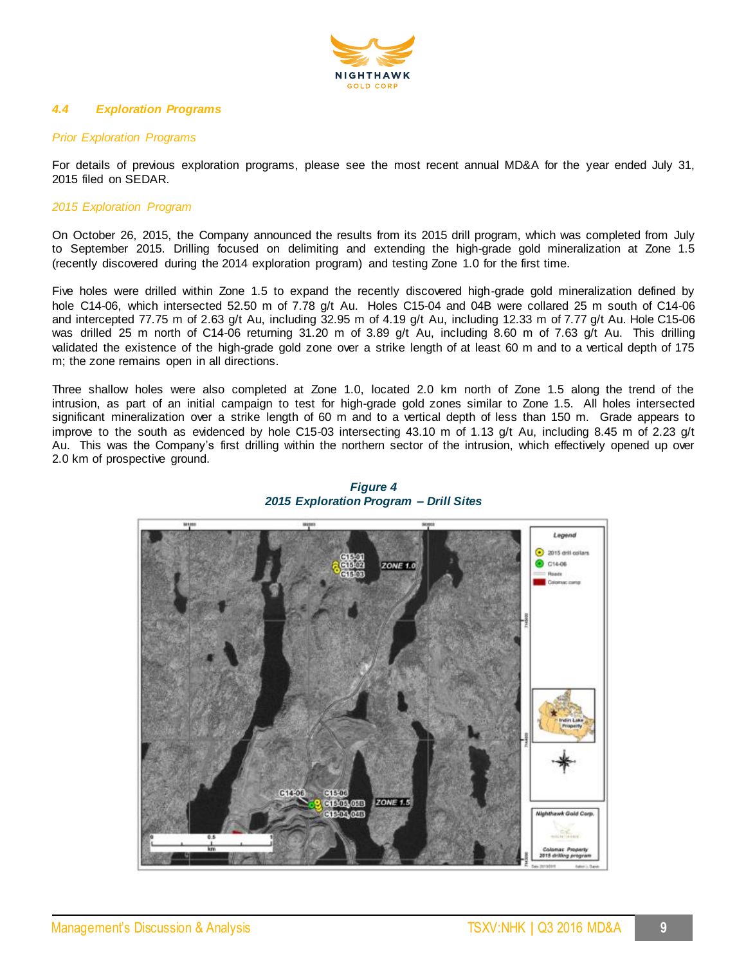

# *4.4 Exploration Programs*

# *Prior Exploration Programs*

For details of previous exploration programs, please see the most recent annual MD&A for the year ended July 31, 2015 filed on SEDAR.

### *2015 Exploration Program*

On October 26, 2015, the Company announced the results from its 2015 drill program, which was completed from July to September 2015. Drilling focused on delimiting and extending the high-grade gold mineralization at Zone 1.5 (recently discovered during the 2014 exploration program) and testing Zone 1.0 for the first time.

Five holes were drilled within Zone 1.5 to expand the recently discovered high-grade gold mineralization defined by hole C14-06, which intersected 52.50 m of 7.78 g/t Au. Holes C15-04 and 04B were collared 25 m south of C14-06 and intercepted 77.75 m of 2.63 g/t Au, including 32.95 m of 4.19 g/t Au, including 12.33 m of 7.77 g/t Au. Hole C15-06 was drilled 25 m north of C14-06 returning 31.20 m of 3.89 g/t Au, including 8.60 m of 7.63 g/t Au. This drilling validated the existence of the high-grade gold zone over a strike length of at least 60 m and to a vertical depth of 175 m; the zone remains open in all directions.

Three shallow holes were also completed at Zone 1.0, located 2.0 km north of Zone 1.5 along the trend of the intrusion, as part of an initial campaign to test for high-grade gold zones similar to Zone 1.5. All holes intersected significant mineralization over a strike length of 60 m and to a vertical depth of less than 150 m. Grade appears to improve to the south as evidenced by hole C15-03 intersecting 43.10 m of 1.13 g/t Au, including 8.45 m of 2.23 g/t Au. This was the Company's first drilling within the northern sector of the intrusion, which effectively opened up over 2.0 km of prospective ground.



*Figure 4 2015 Exploration Program – Drill Sites*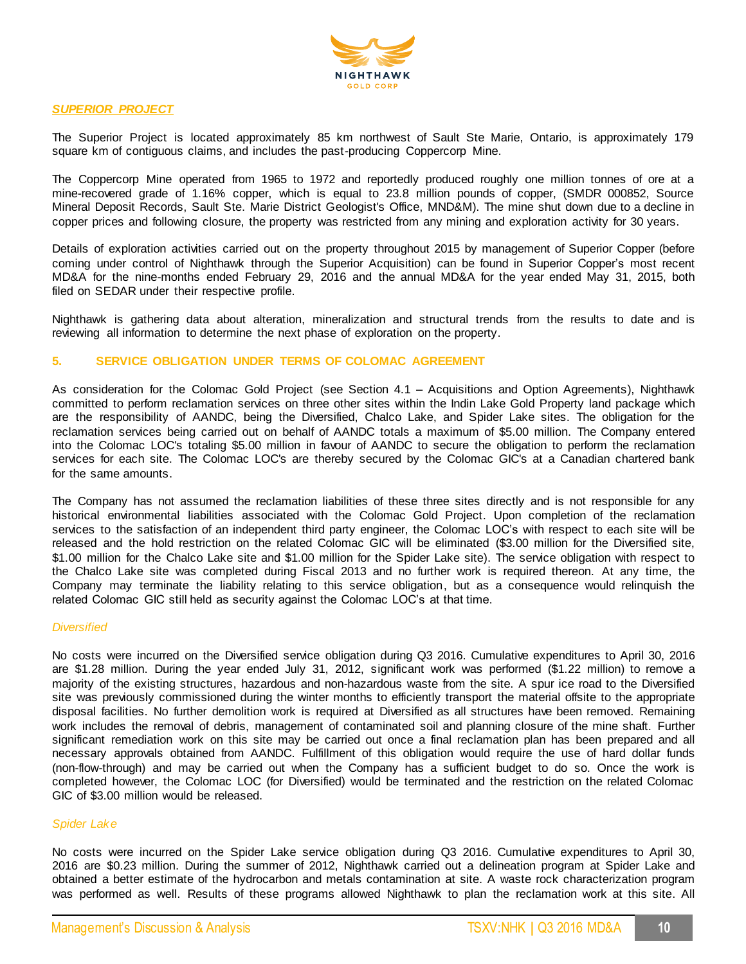

### *SUPERIOR PROJECT*

The Superior Project is located approximately 85 km northwest of Sault Ste Marie, Ontario, is approximately 179 square km of contiguous claims, and includes the past-producing Coppercorp Mine.

The Coppercorp Mine operated from 1965 to 1972 and reportedly produced roughly one million tonnes of ore at a mine-recovered grade of 1.16% copper, which is equal to 23.8 million pounds of copper, (SMDR 000852, Source Mineral Deposit Records, Sault Ste. Marie District Geologist's Office, MND&M). The mine shut down due to a decline in copper prices and following closure, the property was restricted from any mining and exploration activity for 30 years.

Details of exploration activities carried out on the property throughout 2015 by management of Superior Copper (before coming under control of Nighthawk through the Superior Acquisition) can be found in Superior Copper's most recent MD&A for the nine-months ended February 29, 2016 and the annual MD&A for the year ended May 31, 2015, both filed on SEDAR under their respective profile.

Nighthawk is gathering data about alteration, mineralization and structural trends from the results to date and is reviewing all information to determine the next phase of exploration on the property.

# **5. SERVICE OBLIGATION UNDER TERMS OF COLOMAC AGREEMENT**

As consideration for the Colomac Gold Project (see Section 4.1 – Acquisitions and Option Agreements), Nighthawk committed to perform reclamation services on three other sites within the Indin Lake Gold Property land package which are the responsibility of AANDC, being the Diversified, Chalco Lake, and Spider Lake sites. The obligation for the reclamation services being carried out on behalf of AANDC totals a maximum of \$5.00 million. The Company entered into the Colomac LOC's totaling \$5.00 million in favour of AANDC to secure the obligation to perform the reclamation services for each site. The Colomac LOC's are thereby secured by the Colomac GIC's at a Canadian chartered bank for the same amounts.

The Company has not assumed the reclamation liabilities of these three sites directly and is not responsible for any historical environmental liabilities associated with the Colomac Gold Project. Upon completion of the reclamation services to the satisfaction of an independent third party engineer, the Colomac LOC's with respect to each site will be released and the hold restriction on the related Colomac GIC will be eliminated (\$3.00 million for the Diversified site, \$1.00 million for the Chalco Lake site and \$1.00 million for the Spider Lake site). The service obligation with respect to the Chalco Lake site was completed during Fiscal 2013 and no further work is required thereon. At any time, the Company may terminate the liability relating to this service obligation, but as a consequence would relinquish the related Colomac GIC still held as security against the Colomac LOC's at that time.

#### *Diversified*

No costs were incurred on the Diversified service obligation during Q3 2016. Cumulative expenditures to April 30, 2016 are \$1.28 million. During the year ended July 31, 2012, significant work was performed (\$1.22 million) to remove a majority of the existing structures, hazardous and non-hazardous waste from the site. A spur ice road to the Diversified site was previously commissioned during the winter months to efficiently transport the material offsite to the appropriate disposal facilities. No further demolition work is required at Diversified as all structures have been removed. Remaining work includes the removal of debris, management of contaminated soil and planning closure of the mine shaft. Further significant remediation work on this site may be carried out once a final reclamation plan has been prepared and all necessary approvals obtained from AANDC. Fulfillment of this obligation would require the use of hard dollar funds (non-flow-through) and may be carried out when the Company has a sufficient budget to do so. Once the work is completed however, the Colomac LOC (for Diversified) would be terminated and the restriction on the related Colomac GIC of \$3.00 million would be released.

#### *Spider Lake*

No costs were incurred on the Spider Lake service obligation during Q3 2016. Cumulative expenditures to April 30, 2016 are \$0.23 million. During the summer of 2012, Nighthawk carried out a delineation program at Spider Lake and obtained a better estimate of the hydrocarbon and metals contamination at site. A waste rock characterization program was performed as well. Results of these programs allowed Nighthawk to plan the reclamation work at this site. All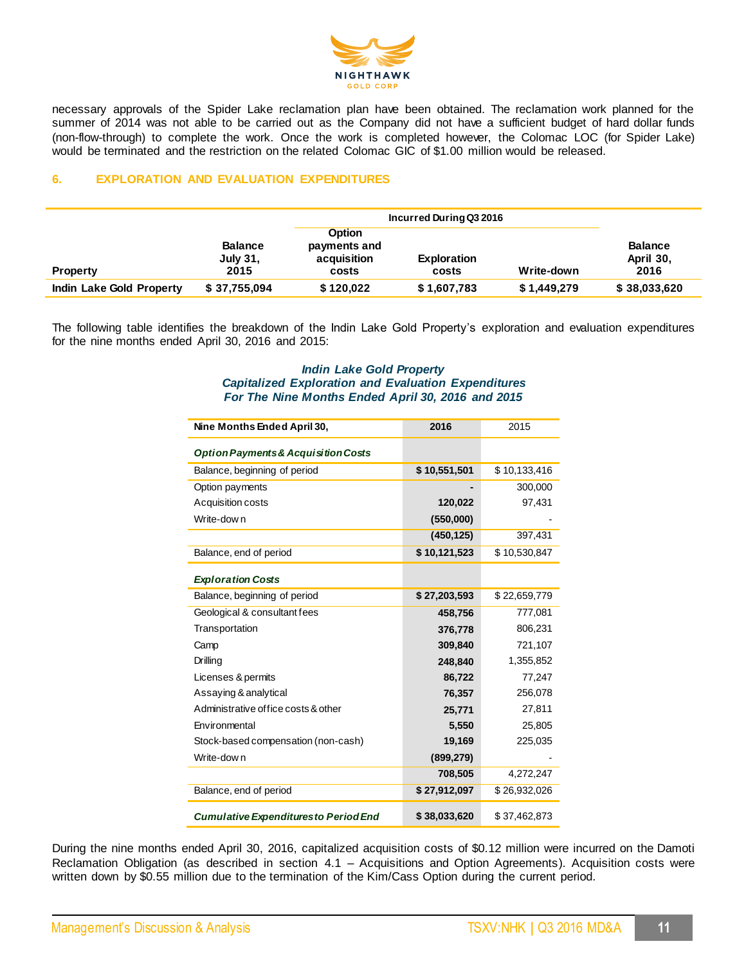

necessary approvals of the Spider Lake reclamation plan have been obtained. The reclamation work planned for the summer of 2014 was not able to be carried out as the Company did not have a sufficient budget of hard dollar funds (non-flow-through) to complete the work. Once the work is completed however, the Colomac LOC (for Spider Lake) would be terminated and the restriction on the related Colomac GIC of \$1.00 million would be released.

# **6. EXPLORATION AND EVALUATION EXPENDITURES**

|                          |                                    |                                                       | Incurred During Q3 2016     |             |                                     |  |
|--------------------------|------------------------------------|-------------------------------------------------------|-----------------------------|-------------|-------------------------------------|--|
| <b>Property</b>          | <b>Balance</b><br>July 31,<br>2015 | <b>Option</b><br>payments and<br>acquisition<br>costs | <b>Exploration</b><br>costs | Write-down  | <b>Balance</b><br>April 30,<br>2016 |  |
| Indin Lake Gold Property | \$37,755,094                       | \$120,022                                             | \$1,607,783                 | \$1,449,279 | \$38,033,620                        |  |

The following table identifies the breakdown of the Indin Lake Gold Property's exploration and evaluation expenditures for the nine months ended April 30, 2016 and 2015:

### *Indin Lake Gold Property Capitalized Exploration and Evaluation Expenditures For The Nine Months Ended April 30, 2016 and 2015*

| Nine Months Ended April 30,                    | 2016         | 2015         |
|------------------------------------------------|--------------|--------------|
| <b>Option Payments &amp; Acquisition Costs</b> |              |              |
| Balance, beginning of period                   | \$10,551,501 | \$10,133,416 |
| Option payments                                |              | 300,000      |
| Acquisition costs                              | 120,022      | 97,431       |
| Write-dow n                                    | (550,000)    |              |
|                                                | (450, 125)   | 397,431      |
| Balance, end of period                         | \$10,121,523 | \$10,530,847 |
| <b>Exploration Costs</b>                       |              |              |
| Balance, beginning of period                   | \$27,203,593 | \$22,659,779 |
| Geological & consultant fees                   | 458,756      | 777,081      |
| Transportation                                 | 376,778      | 806,231      |
| Camp                                           | 309,840      | 721,107      |
| Drilling                                       | 248,840      | 1,355,852    |
| Licenses & permits                             | 86,722       | 77,247       |
| Assaying & analytical                          | 76,357       | 256,078      |
| Administrative office costs & other            | 25,771       | 27,811       |
| Environmental                                  | 5,550        | 25,805       |
| Stock-based compensation (non-cash)            | 19,169       | 225,035      |
| Write-dow n                                    | (899, 279)   |              |
|                                                | 708,505      | 4,272,247    |
| Balance, end of period                         | \$27,912,097 | \$26,932,026 |
| <b>Cumulative Expenditures to Period End</b>   | \$38,033,620 | \$37,462,873 |

During the nine months ended April 30, 2016, capitalized acquisition costs of \$0.12 million were incurred on the Damoti Reclamation Obligation (as described in section 4.1 – Acquisitions and Option Agreements). Acquisition costs were written down by \$0.55 million due to the termination of the Kim/Cass Option during the current period.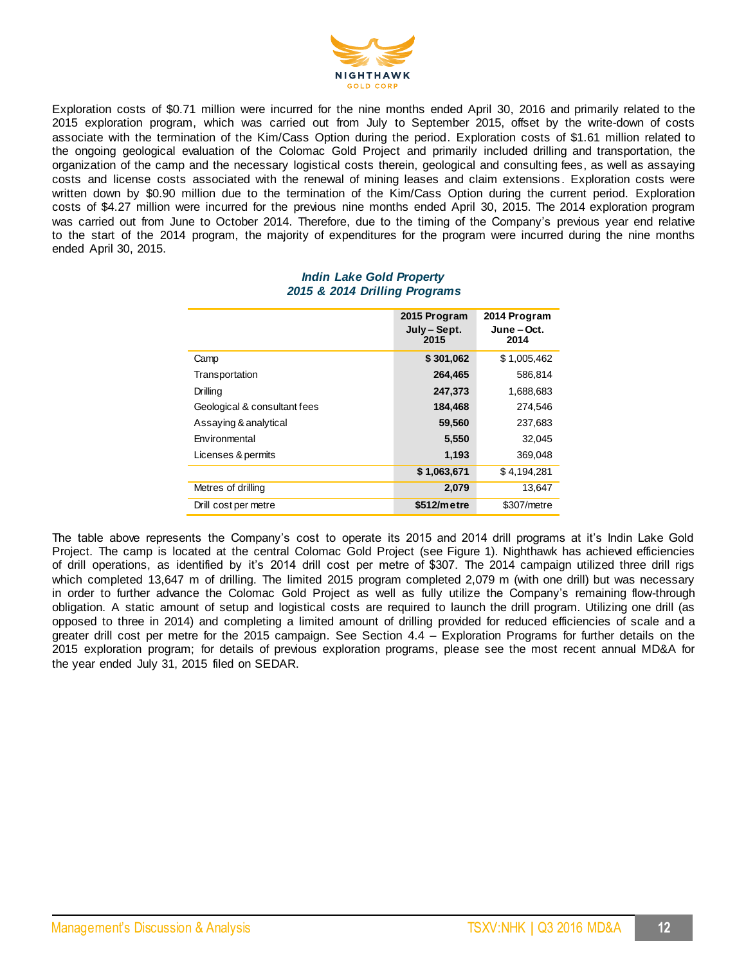

Exploration costs of \$0.71 million were incurred for the nine months ended April 30, 2016 and primarily related to the 2015 exploration program, which was carried out from July to September 2015, offset by the write-down of costs associate with the termination of the Kim/Cass Option during the period. Exploration costs of \$1.61 million related to the ongoing geological evaluation of the Colomac Gold Project and primarily included drilling and transportation, the organization of the camp and the necessary logistical costs therein, geological and consulting fees, as well as assaying costs and license costs associated with the renewal of mining leases and claim extensions . Exploration costs were written down by \$0.90 million due to the termination of the Kim/Cass Option during the current period. Exploration costs of \$4.27 million were incurred for the previous nine months ended April 30, 2015. The 2014 exploration program was carried out from June to October 2014. Therefore, due to the timing of the Company's previous year end relative to the start of the 2014 program, the majority of expenditures for the program were incurred during the nine months ended April 30, 2015.

|                              | 2015 Program<br>July - Sept.<br>2015 | 2014 Program<br>June – Oct.<br>2014 |
|------------------------------|--------------------------------------|-------------------------------------|
| Camp                         | \$301,062                            | \$1,005,462                         |
| Transportation               | 264,465                              | 586.814                             |
| Drilling                     | 247,373                              | 1.688.683                           |
| Geological & consultant fees | 184,468                              | 274.546                             |
| Assaying & analytical        | 59,560                               | 237,683                             |
| <b>Environmental</b>         | 5,550                                | 32.045                              |
| Licenses & permits           | 1,193                                | 369,048                             |
|                              | \$1,063,671                          | \$4.194.281                         |
| Metres of drilling           | 2,079                                | 13,647                              |
| Drill cost per metre         | \$512/metre                          | \$307/metre                         |

#### *Indin Lake Gold Property 2015 & 2014 Drilling Programs*

The table above represents the Company's cost to operate its 2015 and 2014 drill programs at it's Indin Lake Gold Project. The camp is located at the central Colomac Gold Project (see Figure 1). Nighthawk has achieved efficiencies of drill operations, as identified by it's 2014 drill cost per metre of \$307. The 2014 campaign utilized three drill rigs which completed 13,647 m of drilling. The limited 2015 program completed 2,079 m (with one drill) but was necessary in order to further advance the Colomac Gold Project as well as fully utilize the Company's remaining flow-through obligation. A static amount of setup and logistical costs are required to launch the drill program. Utilizing one drill (as opposed to three in 2014) and completing a limited amount of drilling provided for reduced efficiencies of scale and a greater drill cost per metre for the 2015 campaign. See Section 4.4 – Exploration Programs for further details on the 2015 exploration program; for details of previous exploration programs, please see the most recent annual MD&A for the year ended July 31, 2015 filed on SEDAR.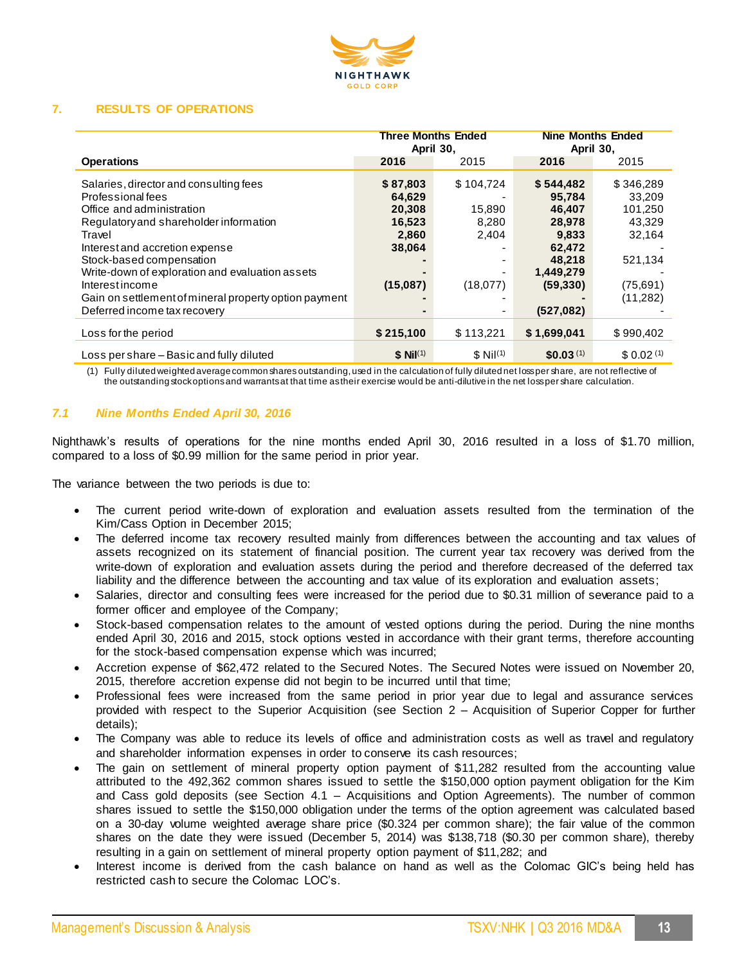

# **7. RESULTS OF OPERATIONS**

|                                                                                                                                                                                                                                                                                                                                          | <b>Three Months Ended</b><br>April 30,                                |                                                        | <b>Nine Months Ended</b><br>April 30,                                                          |                                                                                       |
|------------------------------------------------------------------------------------------------------------------------------------------------------------------------------------------------------------------------------------------------------------------------------------------------------------------------------------------|-----------------------------------------------------------------------|--------------------------------------------------------|------------------------------------------------------------------------------------------------|---------------------------------------------------------------------------------------|
| <b>Operations</b>                                                                                                                                                                                                                                                                                                                        | 2016                                                                  | 2015                                                   | 2016                                                                                           | 2015                                                                                  |
| Salaries, director and consulting fees<br>Professional fees<br>Office and administration<br>Regulatory and shareholder information<br>Travel<br>Interest and accretion expense<br>Stock-based compensation<br>Write-down of exploration and evaluation assets<br>Interestincome<br>Gain on settlement of mineral property option payment | \$87,803<br>64,629<br>20,308<br>16,523<br>2,860<br>38,064<br>(15,087) | \$104,724<br>15,890<br>8,280<br>2,404<br>٠<br>(18,077) | \$544,482<br>95.784<br>46,407<br>28,978<br>9,833<br>62,472<br>48,218<br>1,449,279<br>(59, 330) | \$346,289<br>33.209<br>101,250<br>43.329<br>32,164<br>521,134<br>(75,691)<br>(11,282) |
| Deferred income tax recovery                                                                                                                                                                                                                                                                                                             | $\blacksquare$                                                        | ۰                                                      | (527,082)                                                                                      |                                                                                       |
| Loss for the period                                                                                                                                                                                                                                                                                                                      | \$215,100                                                             | \$113,221                                              | \$1,699,041                                                                                    | \$990,402                                                                             |
| Loss per share – Basic and fully diluted                                                                                                                                                                                                                                                                                                 | $$$ Nil <sup>(1)</sup>                                                | $$$ Nil <sup>(1)</sup>                                 | \$0.03 <sup>(1)</sup>                                                                          | \$0.02 <sup>(1)</sup>                                                                 |

(1) Fully diluted weighted average common shares outstanding, used in the calculation of fully diluted net loss per share, are not reflective of the outstanding stock options and warrants at that time as their exercise would be anti-dilutive in the net loss per share calculation.

# *7.1 Nine Months Ended April 30, 2016*

Nighthawk's results of operations for the nine months ended April 30, 2016 resulted in a loss of \$1.70 million, compared to a loss of \$0.99 million for the same period in prior year.

The variance between the two periods is due to:

- The current period write-down of exploration and evaluation assets resulted from the termination of the Kim/Cass Option in December 2015;
- The deferred income tax recovery resulted mainly from differences between the accounting and tax values of assets recognized on its statement of financial position. The current year tax recovery was derived from the write-down of exploration and evaluation assets during the period and therefore decreased of the deferred tax liability and the difference between the accounting and tax value of its exploration and evaluation assets;
- Salaries, director and consulting fees were increased for the period due to \$0.31 million of severance paid to a former officer and employee of the Company;
- Stock-based compensation relates to the amount of vested options during the period. During the nine months ended April 30, 2016 and 2015, stock options vested in accordance with their grant terms, therefore accounting for the stock-based compensation expense which was incurred;
- Accretion expense of \$62,472 related to the Secured Notes. The Secured Notes were issued on November 20, 2015, therefore accretion expense did not begin to be incurred until that time;
- Professional fees were increased from the same period in prior year due to legal and assurance services provided with respect to the Superior Acquisition (see Section 2 – Acquisition of Superior Copper for further details);
- The Company was able to reduce its levels of office and administration costs as well as travel and regulatory and shareholder information expenses in order to conserve its cash resources;
- The gain on settlement of mineral property option payment of \$11,282 resulted from the accounting value attributed to the 492,362 common shares issued to settle the \$150,000 option payment obligation for the Kim and Cass gold deposits (see Section 4.1 – Acquisitions and Option Agreements). The number of common shares issued to settle the \$150,000 obligation under the terms of the option agreement was calculated based on a 30-day volume weighted average share price (\$0.324 per common share); the fair value of the common shares on the date they were issued (December 5, 2014) was \$138,718 (\$0.30 per common share), thereby resulting in a gain on settlement of mineral property option payment of \$11,282; and
- Interest income is derived from the cash balance on hand as well as the Colomac GIC's being held has restricted cash to secure the Colomac LOC's.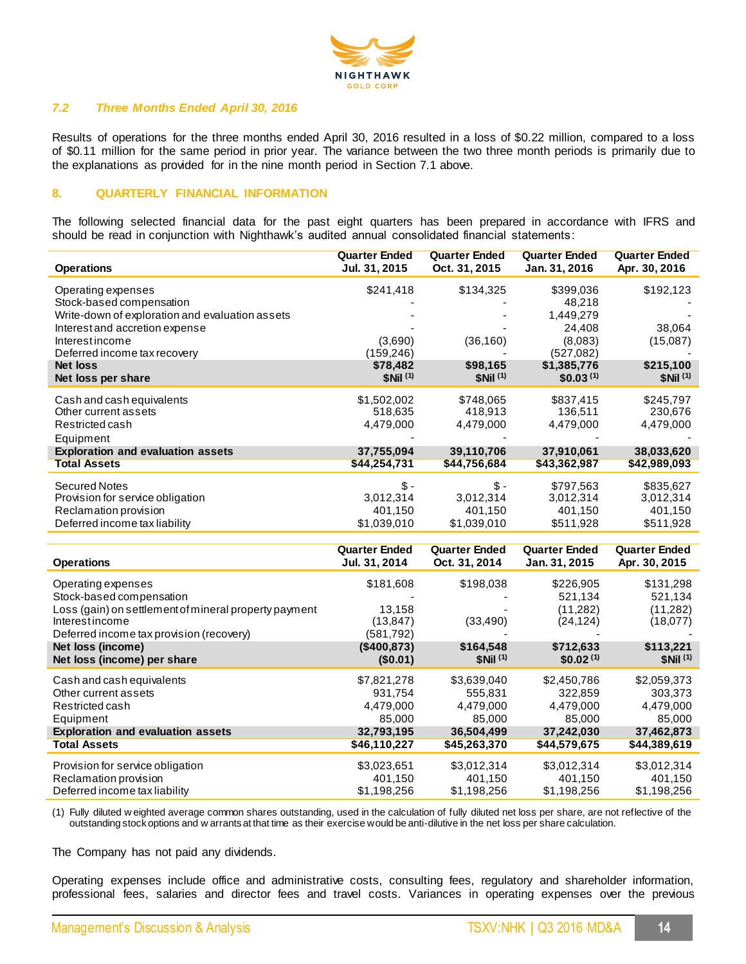

# *7.2 Three Months Ended April 30, 2016*

Results of operations for the three months ended April 30, 2016 resulted in a loss of \$0.22 million, compared to a loss of \$0.11 million for the same period in prior year. The variance between the two three month periods is primarily due to the explanations as provided for in the nine month period in Section 7.1 above.

# **8. QUARTERLY FINANCIAL INFORMATION**

The following selected financial data for the past eight quarters has been prepared in accordance with IFRS and should be read in conjunction with Nighthawk's audited annual consolidated financial statements:

| <b>Operations</b>                               | <b>Quarter Ended</b><br>Jul. 31, 2015 | <b>Quarter Ended</b><br>Oct. 31, 2015 | <b>Quarter Ended</b><br>Jan. 31, 2016 | <b>Quarter Ended</b><br>Apr. 30, 2016 |
|-------------------------------------------------|---------------------------------------|---------------------------------------|---------------------------------------|---------------------------------------|
| Operating expenses                              | \$241,418                             | \$134,325                             | \$399,036                             | \$192,123                             |
| Stock-based compensation                        |                                       |                                       | 48,218                                |                                       |
| Write-down of exploration and evaluation assets |                                       |                                       | 1,449,279                             |                                       |
| Interest and accretion expense                  |                                       |                                       | 24,408                                | 38,064                                |
| Interestincome                                  | (3,690)                               | (36, 160)                             | (8,083)                               | (15,087)                              |
| Deferred income tax recovery                    | (159,246)                             |                                       | (527,082)                             |                                       |
| <b>Net loss</b>                                 | \$78,482                              | \$98,165                              | \$1,385,776                           | \$215,100                             |
| Net loss per share                              | $$Nii$ <sup>(1)</sup>                 | $$Nii$ <sup>(1)</sup>                 | \$0.03 <sup>(1)</sup>                 | \$Nii <sup>(1)</sup>                  |
| Cash and cash equivalents                       | \$1,502,002                           | \$748,065                             | \$837,415                             | \$245,797                             |
| Other current assets                            | 518,635                               | 418,913                               | 136,511                               | 230,676                               |
| Restricted cash                                 | 4,479,000                             | 4,479,000                             | 4,479,000                             | 4,479,000                             |
| Equipment                                       |                                       |                                       |                                       |                                       |
| <b>Exploration and evaluation assets</b>        | 37,755,094                            | 39,110,706                            | 37,910,061                            | 38,033,620                            |
| <b>Total Assets</b>                             | \$44,254,731                          | \$44,756,684                          | \$43,362,987                          | \$42,989,093                          |
| <b>Secured Notes</b>                            | \$-                                   | \$-                                   | \$797,563                             | \$835,627                             |
| Provision for service obligation                | 3,012,314                             | 3,012,314                             | 3,012,314                             | 3,012,314                             |
| Reclamation provision                           | 401,150                               | 401,150                               | 401,150                               | 401,150                               |
| Deferred income tax liability                   | \$1,039,010                           | \$1,039,010                           | \$511,928                             | \$511,928                             |
|                                                 |                                       |                                       |                                       |                                       |

|                                                       | <b>Quarter Ended</b> | <b>Quarter Ended</b>  | <b>Quarter Ended</b>  | <b>Quarter Ended</b> |
|-------------------------------------------------------|----------------------|-----------------------|-----------------------|----------------------|
| <b>Operations</b>                                     | Jul. 31, 2014        | Oct. 31, 2014         | Jan. 31, 2015         | Apr. 30, 2015        |
| Operating expenses                                    | \$181,608            | \$198,038             | \$226,905             | \$131,298            |
| Stock-based compensation                              |                      |                       | 521,134               | 521,134              |
| Loss (gain) on settlement of mineral property payment | 13,158               |                       | (11, 282)             | (11,282)             |
| Interestincome                                        | (13, 847)            | (33, 490)             | (24, 124)             | (18,077)             |
| Deferred income tax provision (recovery)              | (581, 792)           |                       |                       |                      |
| Net loss (income)                                     | (\$400.873)          | \$164,548             | \$712,633             | \$113,221            |
| Net loss (income) per share                           | (\$0.01)             | $$Nii$ <sup>(1)</sup> | \$0.02 <sup>(1)</sup> | \$Nii <sup>(1)</sup> |
| Cash and cash equivalents                             | \$7,821,278          | \$3,639,040           | \$2,450,786           | \$2,059,373          |
| Other current assets                                  | 931,754              | 555.831               | 322.859               | 303,373              |
| Restricted cash                                       | 4,479,000            | 4,479,000             | 4,479,000             | 4,479,000            |
| Equipment                                             | 85,000               | 85,000                | 85,000                | 85,000               |
| <b>Exploration and evaluation assets</b>              | 32,793,195           | 36,504,499            | 37,242,030            | 37,462,873           |
| Total Assets                                          | \$46,110,227         | \$45,263,370          | \$44,579,675          | \$44,389,619         |
| Provision for service obligation                      | \$3,023,651          | \$3,012,314           | \$3,012,314           | \$3,012,314          |
| Reclamation provision                                 | 401,150              | 401,150               | 401,150               | 401,150              |
| Deferred income tax liability                         | \$1,198,256          | \$1,198,256           | \$1,198,256           | \$1,198,256          |

(1) Fully diluted w eighted average common shares outstanding, used in the calculation of fully diluted net loss per share, are not reflective of the outstanding stock options and w arrants at that time as their exercise would be anti-dilutive in the net loss per share calculation.

The Company has not paid any dividends.

Operating expenses include office and administrative costs, consulting fees, regulatory and shareholder information, professional fees, salaries and director fees and travel costs. Variances in operating expenses over the previous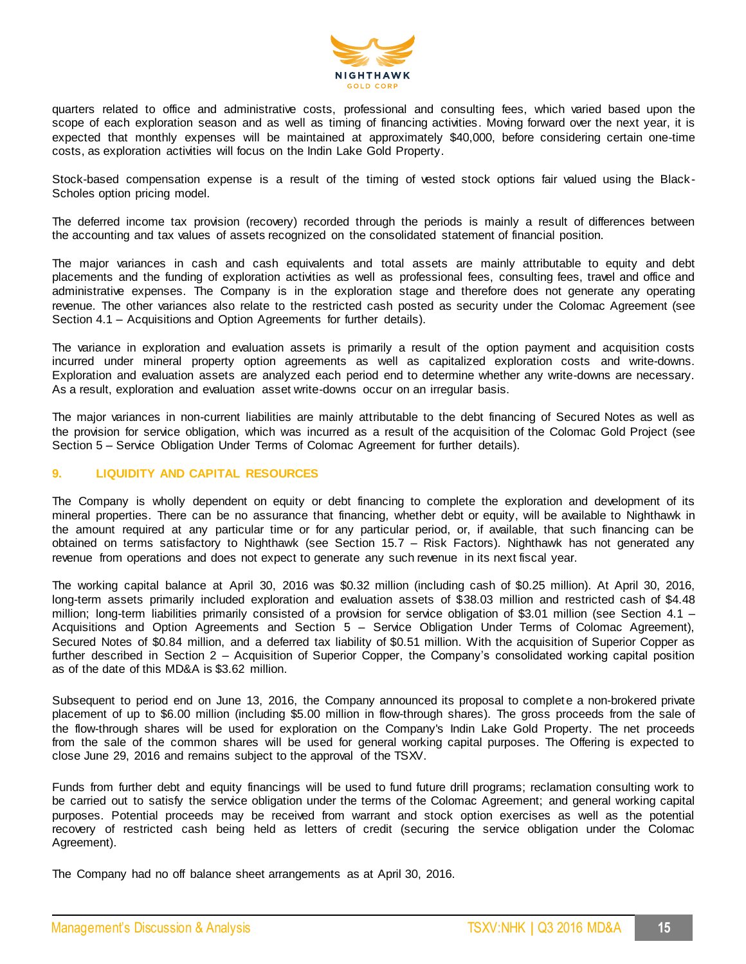

quarters related to office and administrative costs, professional and consulting fees, which varied based upon the scope of each exploration season and as well as timing of financing activities. Moving forward over the next year, it is expected that monthly expenses will be maintained at approximately \$40,000, before considering certain one-time costs, as exploration activities will focus on the Indin Lake Gold Property.

Stock-based compensation expense is a result of the timing of vested stock options fair valued using the Black - Scholes option pricing model.

The deferred income tax provision (recovery) recorded through the periods is mainly a result of differences between the accounting and tax values of assets recognized on the consolidated statement of financial position.

The major variances in cash and cash equivalents and total assets are mainly attributable to equity and debt placements and the funding of exploration activities as well as professional fees, consulting fees, travel and office and administrative expenses. The Company is in the exploration stage and therefore does not generate any operating revenue. The other variances also relate to the restricted cash posted as security under the Colomac Agreement (see Section 4.1 – Acquisitions and Option Agreements for further details).

The variance in exploration and evaluation assets is primarily a result of the option payment and acquisition costs incurred under mineral property option agreements as well as capitalized exploration costs and write-downs. Exploration and evaluation assets are analyzed each period end to determine whether any write-downs are necessary. As a result, exploration and evaluation asset write-downs occur on an irregular basis.

The major variances in non-current liabilities are mainly attributable to the debt financing of Secured Notes as well as the provision for service obligation, which was incurred as a result of the acquisition of the Colomac Gold Project (see Section 5 – Service Obligation Under Terms of Colomac Agreement for further details).

# **9. LIQUIDITY AND CAPITAL RESOURCES**

The Company is wholly dependent on equity or debt financing to complete the exploration and development of its mineral properties. There can be no assurance that financing, whether debt or equity, will be available to Nighthawk in the amount required at any particular time or for any particular period, or, if available, that such financing can be obtained on terms satisfactory to Nighthawk (see Section 15.7 – Risk Factors). Nighthawk has not generated any revenue from operations and does not expect to generate any such revenue in its next fiscal year.

The working capital balance at April 30, 2016 was \$0.32 million (including cash of \$0.25 million). At April 30, 2016, long-term assets primarily included exploration and evaluation assets of \$38.03 million and restricted cash of \$4.48 million; long-term liabilities primarily consisted of a provision for service obligation of \$3.01 million (see Section 4.1 – Acquisitions and Option Agreements and Section 5 – Service Obligation Under Terms of Colomac Agreement), Secured Notes of \$0.84 million, and a deferred tax liability of \$0.51 million. With the acquisition of Superior Copper as further described in Section 2 – Acquisition of Superior Copper, the Company's consolidated working capital position as of the date of this MD&A is \$3.62 million.

Subsequent to period end on June 13, 2016, the Company announced its proposal to complete a non-brokered private placement of up to \$6.00 million (including \$5.00 million in flow-through shares). The gross proceeds from the sale of the flow-through shares will be used for exploration on the Company's Indin Lake Gold Property. The net proceeds from the sale of the common shares will be used for general working capital purposes. The Offering is expected to close June 29, 2016 and remains subject to the approval of the TSXV.

Funds from further debt and equity financings will be used to fund future drill programs; reclamation consulting work to be carried out to satisfy the service obligation under the terms of the Colomac Agreement; and general working capital purposes. Potential proceeds may be received from warrant and stock option exercises as well as the potential recovery of restricted cash being held as letters of credit (securing the service obligation under the Colomac Agreement).

The Company had no off balance sheet arrangements as at April 30, 2016.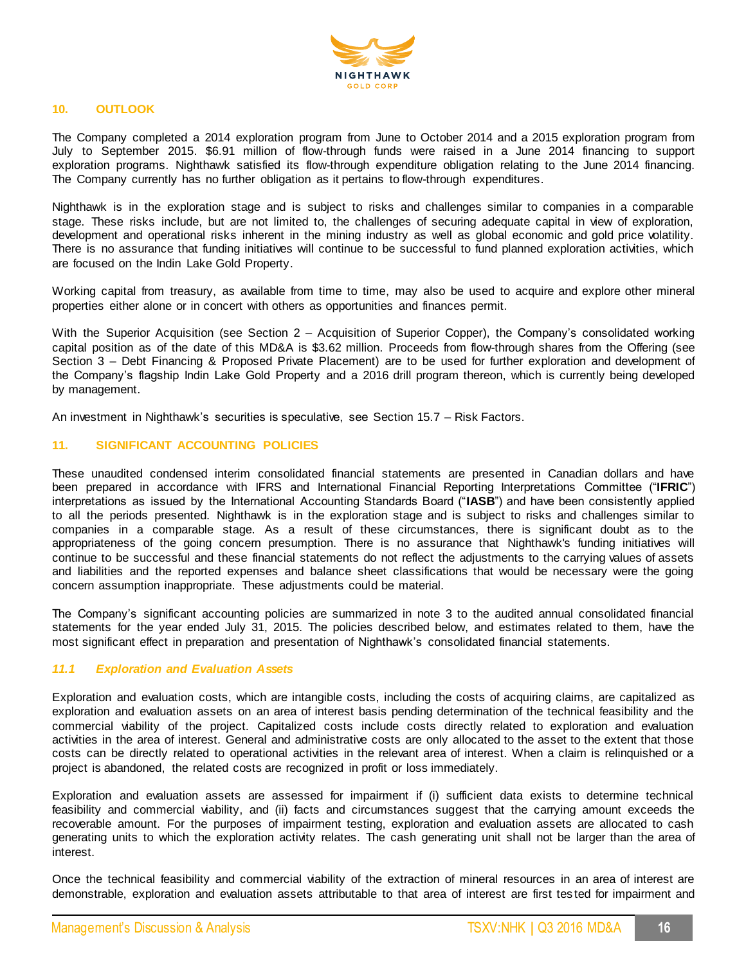

# **10. OUTLOOK**

The Company completed a 2014 exploration program from June to October 2014 and a 2015 exploration program from July to September 2015. \$6.91 million of flow-through funds were raised in a June 2014 financing to support exploration programs. Nighthawk satisfied its flow-through expenditure obligation relating to the June 2014 financing. The Company currently has no further obligation as it pertains to flow-through expenditures.

Nighthawk is in the exploration stage and is subject to risks and challenges similar to companies in a comparable stage. These risks include, but are not limited to, the challenges of securing adequate capital in view of exploration, development and operational risks inherent in the mining industry as well as global economic and gold price volatility. There is no assurance that funding initiatives will continue to be successful to fund planned exploration activities, which are focused on the Indin Lake Gold Property.

Working capital from treasury, as available from time to time, may also be used to acquire and explore other mineral properties either alone or in concert with others as opportunities and finances permit.

With the Superior Acquisition (see Section 2 – Acquisition of Superior Copper), the Company's consolidated working capital position as of the date of this MD&A is \$3.62 million. Proceeds from flow-through shares from the Offering (see Section 3 – Debt Financing & Proposed Private Placement) are to be used for further exploration and development of the Company's flagship Indin Lake Gold Property and a 2016 drill program thereon, which is currently being developed by management.

An investment in Nighthawk's securities is speculative, see Section 15.7 – Risk Factors.

# **11. SIGNIFICANT ACCOUNTING POLICIES**

These unaudited condensed interim consolidated financial statements are presented in Canadian dollars and have been prepared in accordance with IFRS and International Financial Reporting Interpretations Committee ("**IFRIC**") interpretations as issued by the International Accounting Standards Board ("**IASB**") and have been consistently applied to all the periods presented. Nighthawk is in the exploration stage and is subject to risks and challenges similar to companies in a comparable stage. As a result of these circumstances, there is significant doubt as to the appropriateness of the going concern presumption. There is no assurance that Nighthawk's funding initiatives will continue to be successful and these financial statements do not reflect the adjustments to the carrying values of assets and liabilities and the reported expenses and balance sheet classifications that would be necessary were the going concern assumption inappropriate. These adjustments could be material.

The Company's significant accounting policies are summarized in note 3 to the audited annual consolidated financial statements for the year ended July 31, 2015. The policies described below, and estimates related to them, have the most significant effect in preparation and presentation of Nighthawk's consolidated financial statements.

# *11.1 Exploration and Evaluation Assets*

Exploration and evaluation costs, which are intangible costs, including the costs of acquiring claims, are capitalized as exploration and evaluation assets on an area of interest basis pending determination of the technical feasibility and the commercial viability of the project. Capitalized costs include costs directly related to exploration and evaluation activities in the area of interest. General and administrative costs are only allocated to the asset to the extent that those costs can be directly related to operational activities in the relevant area of interest. When a claim is relinquished or a project is abandoned, the related costs are recognized in profit or loss immediately.

Exploration and evaluation assets are assessed for impairment if (i) sufficient data exists to determine technical feasibility and commercial viability, and (ii) facts and circumstances suggest that the carrying amount exceeds the recoverable amount. For the purposes of impairment testing, exploration and evaluation assets are allocated to cash generating units to which the exploration activity relates. The cash generating unit shall not be larger than the area of interest.

Once the technical feasibility and commercial viability of the extraction of mineral resources in an area of interest are demonstrable, exploration and evaluation assets attributable to that area of interest are first tes ted for impairment and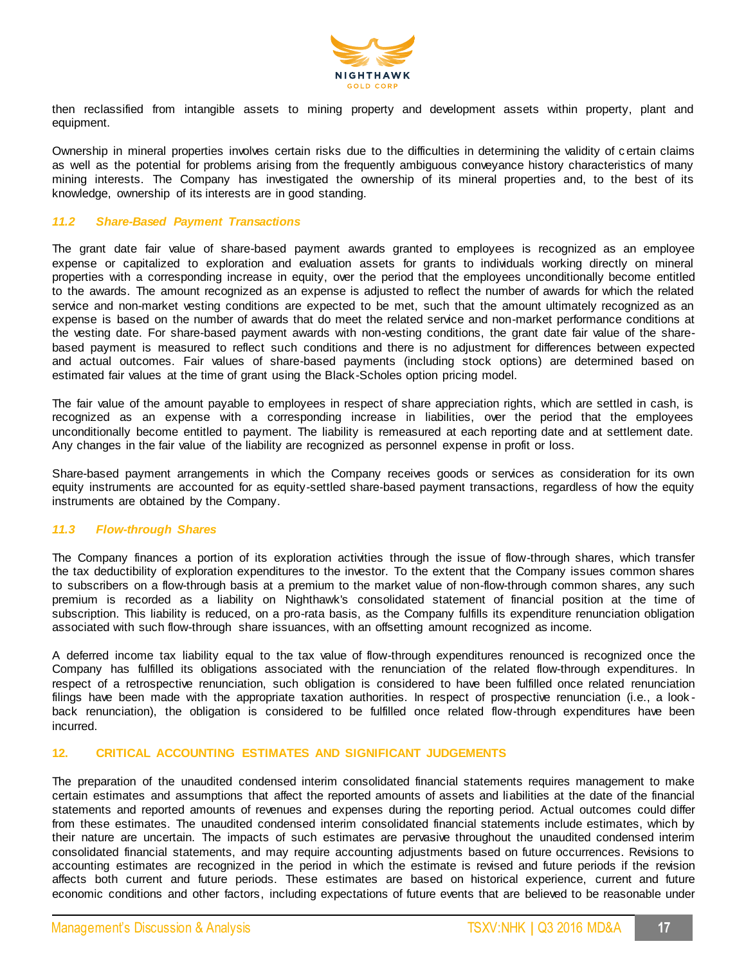

then reclassified from intangible assets to mining property and development assets within property, plant and equipment.

Ownership in mineral properties involves certain risks due to the difficulties in determining the validity of c ertain claims as well as the potential for problems arising from the frequently ambiguous conveyance history characteristics of many mining interests. The Company has investigated the ownership of its mineral properties and, to the best of its knowledge, ownership of its interests are in good standing.

# *11.2 Share-Based Payment Transactions*

The grant date fair value of share-based payment awards granted to employees is recognized as an employee expense or capitalized to exploration and evaluation assets for grants to individuals working directly on mineral properties with a corresponding increase in equity, over the period that the employees unconditionally become entitled to the awards. The amount recognized as an expense is adjusted to reflect the number of awards for which the related service and non-market vesting conditions are expected to be met, such that the amount ultimately recognized as an expense is based on the number of awards that do meet the related service and non-market performance conditions at the vesting date. For share-based payment awards with non-vesting conditions, the grant date fair value of the sharebased payment is measured to reflect such conditions and there is no adjustment for differences between expected and actual outcomes. Fair values of share-based payments (including stock options) are determined based on estimated fair values at the time of grant using the Black-Scholes option pricing model.

The fair value of the amount payable to employees in respect of share appreciation rights, which are settled in cash, is recognized as an expense with a corresponding increase in liabilities, over the period that the employees unconditionally become entitled to payment. The liability is remeasured at each reporting date and at settlement date. Any changes in the fair value of the liability are recognized as personnel expense in profit or loss.

Share-based payment arrangements in which the Company receives goods or services as consideration for its own equity instruments are accounted for as equity-settled share-based payment transactions, regardless of how the equity instruments are obtained by the Company.

#### *11.3 Flow-through Shares*

The Company finances a portion of its exploration activities through the issue of flow-through shares, which transfer the tax deductibility of exploration expenditures to the investor. To the extent that the Company issues common shares to subscribers on a flow-through basis at a premium to the market value of non-flow-through common shares, any such premium is recorded as a liability on Nighthawk's consolidated statement of financial position at the time of subscription. This liability is reduced, on a pro-rata basis, as the Company fulfills its expenditure renunciation obligation associated with such flow-through share issuances, with an offsetting amount recognized as income.

A deferred income tax liability equal to the tax value of flow-through expenditures renounced is recognized once the Company has fulfilled its obligations associated with the renunciation of the related flow-through expenditures. In respect of a retrospective renunciation, such obligation is considered to have been fulfilled once related renunciation filings have been made with the appropriate taxation authorities. In respect of prospective renunciation (i.e., a lookback renunciation), the obligation is considered to be fulfilled once related flow-through expenditures have been incurred.

### **12. CRITICAL ACCOUNTING ESTIMATES AND SIGNIFICANT JUDGEMENTS**

The preparation of the unaudited condensed interim consolidated financial statements requires management to make certain estimates and assumptions that affect the reported amounts of assets and liabilities at the date of the financial statements and reported amounts of revenues and expenses during the reporting period. Actual outcomes could differ from these estimates. The unaudited condensed interim consolidated financial statements include estimates, which by their nature are uncertain. The impacts of such estimates are pervasive throughout the unaudited condensed interim consolidated financial statements, and may require accounting adjustments based on future occurrences. Revisions to accounting estimates are recognized in the period in which the estimate is revised and future periods if the revision affects both current and future periods. These estimates are based on historical experience, current and future economic conditions and other factors, including expectations of future events that are believed to be reasonable under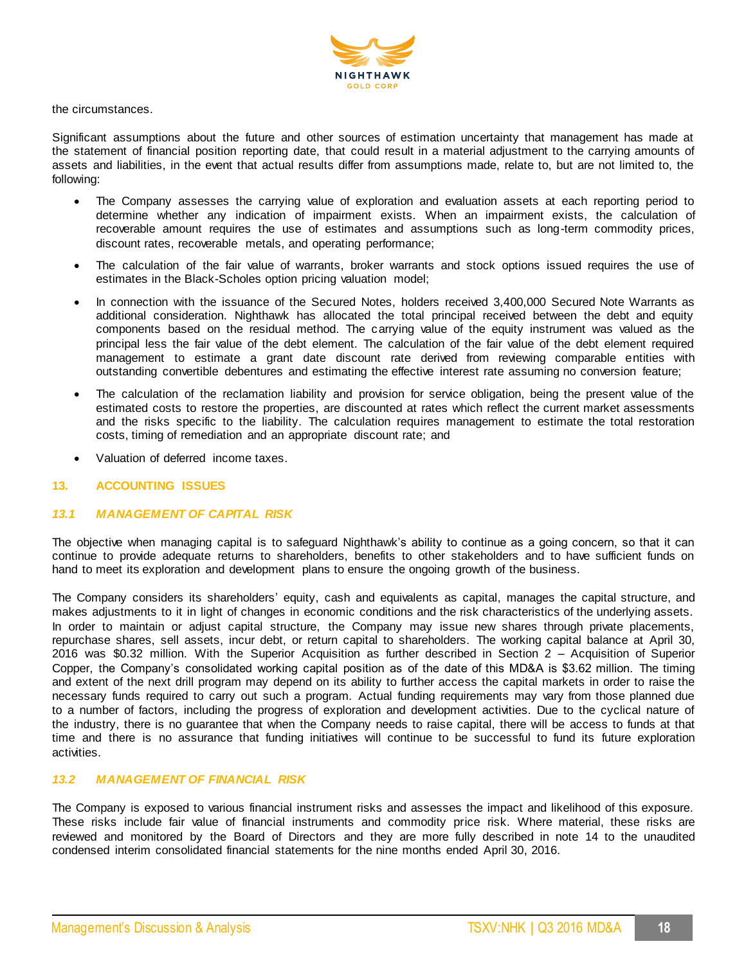

the circumstances.

Significant assumptions about the future and other sources of estimation uncertainty that management has made at the statement of financial position reporting date, that could result in a material adjustment to the carrying amounts of assets and liabilities, in the event that actual results differ from assumptions made, relate to, but are not limited to, the following:

- The Company assesses the carrying value of exploration and evaluation assets at each reporting period to determine whether any indication of impairment exists. When an impairment exists, the calculation of recoverable amount requires the use of estimates and assumptions such as long-term commodity prices, discount rates, recoverable metals, and operating performance;
- The calculation of the fair value of warrants, broker warrants and stock options issued requires the use of estimates in the Black-Scholes option pricing valuation model;
- In connection with the issuance of the Secured Notes, holders received 3,400,000 Secured Note Warrants as additional consideration. Nighthawk has allocated the total principal received between the debt and equity components based on the residual method. The carrying value of the equity instrument was valued as the principal less the fair value of the debt element. The calculation of the fair value of the debt element required management to estimate a grant date discount rate derived from reviewing comparable entities with outstanding convertible debentures and estimating the effective interest rate assuming no conversion feature;
- The calculation of the reclamation liability and provision for service obligation, being the present value of the estimated costs to restore the properties, are discounted at rates which reflect the current market assessments and the risks specific to the liability. The calculation requires management to estimate the total restoration costs, timing of remediation and an appropriate discount rate; and
- Valuation of deferred income taxes.

# **13. ACCOUNTING ISSUES**

# *13.1 MANAGEMENT OF CAPITAL RISK*

The objective when managing capital is to safeguard Nighthawk's ability to continue as a going concern, so that it can continue to provide adequate returns to shareholders, benefits to other stakeholders and to have sufficient funds on hand to meet its exploration and development plans to ensure the ongoing growth of the business.

The Company considers its shareholders' equity, cash and equivalents as capital, manages the capital structure, and makes adjustments to it in light of changes in economic conditions and the risk characteristics of the underlying assets. In order to maintain or adjust capital structure, the Company may issue new shares through private placements, repurchase shares, sell assets, incur debt, or return capital to shareholders. The working capital balance at April 30, 2016 was \$0.32 million. With the Superior Acquisition as further described in Section 2 – Acquisition of Superior Copper, the Company's consolidated working capital position as of the date of this MD&A is \$3.62 million. The timing and extent of the next drill program may depend on its ability to further access the capital markets in order to raise the necessary funds required to carry out such a program. Actual funding requirements may vary from those planned due to a number of factors, including the progress of exploration and development activities. Due to the cyclical nature of the industry, there is no guarantee that when the Company needs to raise capital, there will be access to funds at that time and there is no assurance that funding initiatives will continue to be successful to fund its future exploration activities.

# *13.2 MANAGEMENT OF FINANCIAL RISK*

The Company is exposed to various financial instrument risks and assesses the impact and likelihood of this exposure. These risks include fair value of financial instruments and commodity price risk. Where material, these risks are reviewed and monitored by the Board of Directors and they are more fully described in note 14 to the unaudited condensed interim consolidated financial statements for the nine months ended April 30, 2016.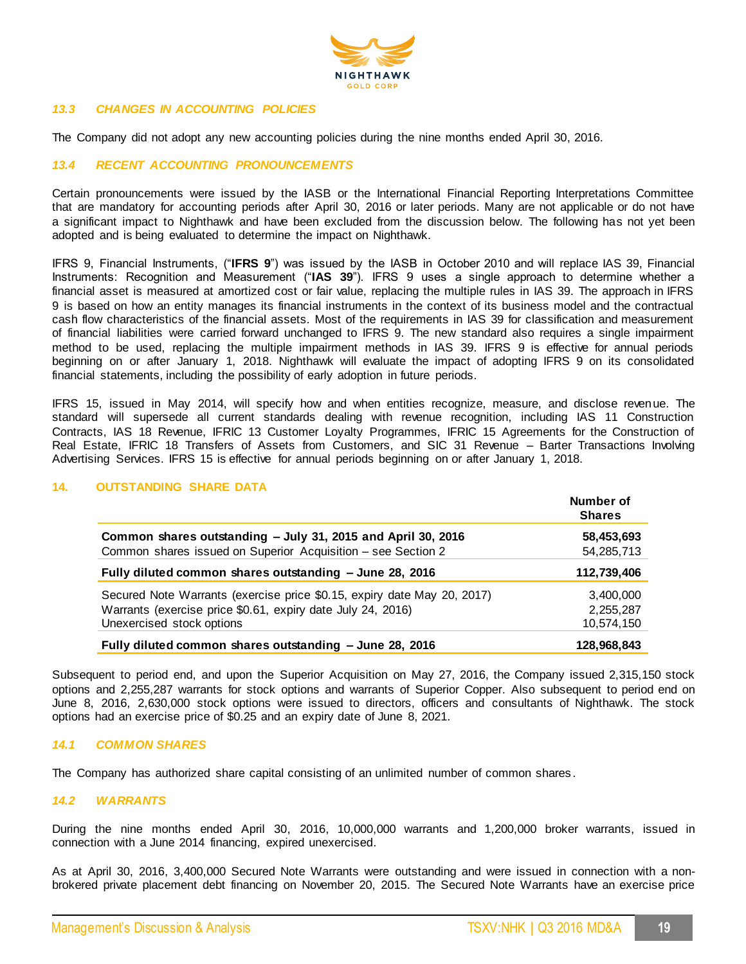

# *13.3 CHANGES IN ACCOUNTING POLICIES*

The Company did not adopt any new accounting policies during the nine months ended April 30, 2016.

# *13.4 RECENT ACCOUNTING PRONOUNCEMENTS*

Certain pronouncements were issued by the IASB or the International Financial Reporting Interpretations Committee that are mandatory for accounting periods after April 30, 2016 or later periods. Many are not applicable or do not have a significant impact to Nighthawk and have been excluded from the discussion below. The following has not yet been adopted and is being evaluated to determine the impact on Nighthawk.

IFRS 9, Financial Instruments, ("**IFRS 9**") was issued by the IASB in October 2010 and will replace IAS 39, Financial Instruments: Recognition and Measurement ("**IAS 39**"). IFRS 9 uses a single approach to determine whether a financial asset is measured at amortized cost or fair value, replacing the multiple rules in IAS 39. The approach in IFRS 9 is based on how an entity manages its financial instruments in the context of its business model and the contractual cash flow characteristics of the financial assets. Most of the requirements in IAS 39 for classification and measurement of financial liabilities were carried forward unchanged to IFRS 9. The new standard also requires a single impairment method to be used, replacing the multiple impairment methods in IAS 39. IFRS 9 is effective for annual periods beginning on or after January 1, 2018. Nighthawk will evaluate the impact of adopting IFRS 9 on its consolidated financial statements, including the possibility of early adoption in future periods.

IFRS 15, issued in May 2014, will specify how and when entities recognize, measure, and disclose revenue. The standard will supersede all current standards dealing with revenue recognition, including IAS 11 Construction Contracts, IAS 18 Revenue, IFRIC 13 Customer Loyalty Programmes, IFRIC 15 Agreements for the Construction of Real Estate, IFRIC 18 Transfers of Assets from Customers, and SIC 31 Revenue – Barter Transactions Involving Advertising Services. IFRS 15 is effective for annual periods beginning on or after January 1, 2018.

|                                                                         | Number of<br><b>Shares</b> |
|-------------------------------------------------------------------------|----------------------------|
| Common shares outstanding - July 31, 2015 and April 30, 2016            | 58,453,693                 |
| Common shares issued on Superior Acquisition - see Section 2            | 54,285,713                 |
| Fully diluted common shares outstanding - June 28, 2016                 | 112,739,406                |
| Secured Note Warrants (exercise price \$0.15, expiry date May 20, 2017) | 3,400,000                  |
| Warrants (exercise price \$0.61, expiry date July 24, 2016)             | 2,255,287                  |
| Unexercised stock options                                               | 10,574,150                 |
| Fully diluted common shares outstanding - June 28, 2016                 | 128,968,843                |

## **14. OUTSTANDING SHARE DATA**

Subsequent to period end, and upon the Superior Acquisition on May 27, 2016, the Company issued 2,315,150 stock options and 2,255,287 warrants for stock options and warrants of Superior Copper. Also subsequent to period end on June 8, 2016, 2,630,000 stock options were issued to directors, officers and consultants of Nighthawk. The stock options had an exercise price of \$0.25 and an expiry date of June 8, 2021.

#### *14.1 COMMON SHARES*

The Company has authorized share capital consisting of an unlimited number of common shares .

#### *14.2 WARRANTS*

During the nine months ended April 30, 2016, 10,000,000 warrants and 1,200,000 broker warrants, issued in connection with a June 2014 financing, expired unexercised.

As at April 30, 2016, 3,400,000 Secured Note Warrants were outstanding and were issued in connection with a nonbrokered private placement debt financing on November 20, 2015. The Secured Note Warrants have an exercise price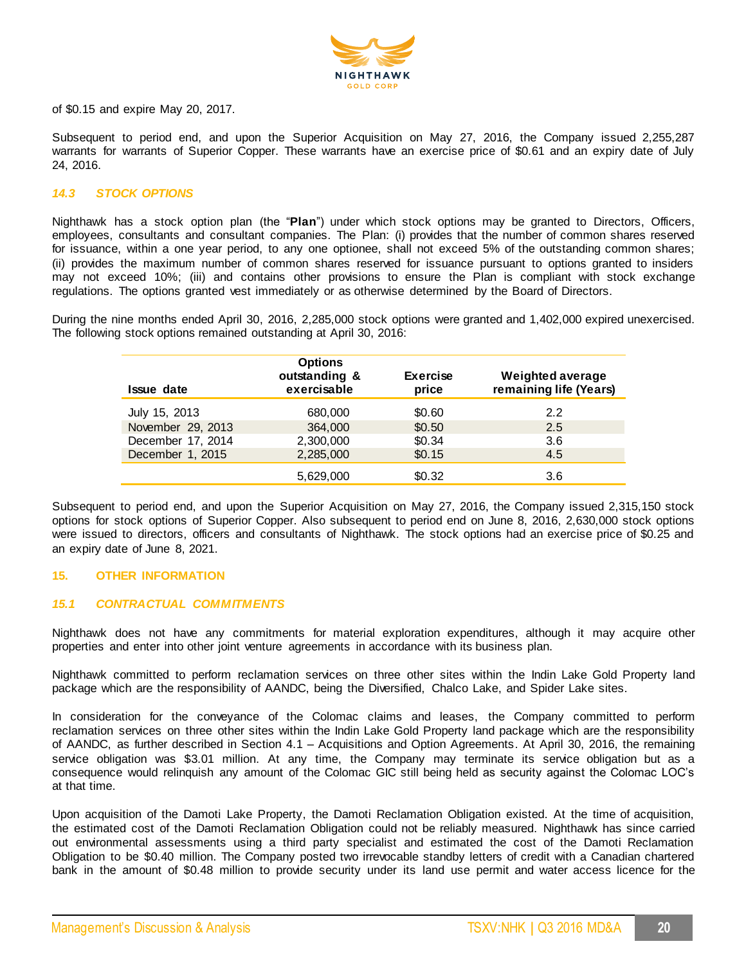

of \$0.15 and expire May 20, 2017.

Subsequent to period end, and upon the Superior Acquisition on May 27, 2016, the Company issued 2,255,287 warrants for warrants of Superior Copper. These warrants have an exercise price of \$0.61 and an expiry date of July 24, 2016.

# *14.3 STOCK OPTIONS*

Nighthawk has a stock option plan (the "**Plan**") under which stock options may be granted to Directors, Officers, employees, consultants and consultant companies. The Plan: (i) provides that the number of common shares reserved for issuance, within a one year period, to any one optionee, shall not exceed 5% of the outstanding common shares; (ii) provides the maximum number of common shares reserved for issuance pursuant to options granted to insiders may not exceed 10%; (iii) and contains other provisions to ensure the Plan is compliant with stock exchange regulations. The options granted vest immediately or as otherwise determined by the Board of Directors.

During the nine months ended April 30, 2016, 2,285,000 stock options were granted and 1,402,000 expired unexercised. The following stock options remained outstanding at April 30, 2016:

| <b>Issue date</b> | <b>Options</b><br>outstanding &<br>exercisable | <b>Exercise</b><br>price | <b>Weighted average</b><br>remaining life (Years) |
|-------------------|------------------------------------------------|--------------------------|---------------------------------------------------|
| July 15, 2013     | 680,000                                        | \$0.60                   | 2.2                                               |
| November 29, 2013 | 364,000                                        | \$0.50                   | 2.5                                               |
| December 17, 2014 | 2,300,000                                      | \$0.34                   | 3.6                                               |
| December 1, 2015  | 2,285,000                                      | \$0.15                   | 4.5                                               |
|                   | 5,629,000                                      | \$0.32                   | 3.6                                               |

Subsequent to period end, and upon the Superior Acquisition on May 27, 2016, the Company issued 2,315,150 stock options for stock options of Superior Copper. Also subsequent to period end on June 8, 2016, 2,630,000 stock options were issued to directors, officers and consultants of Nighthawk. The stock options had an exercise price of \$0.25 and an expiry date of June 8, 2021.

## **15. OTHER INFORMATION**

### *15.1 CONTRACTUAL COMMITMENTS*

Nighthawk does not have any commitments for material exploration expenditures, although it may acquire other properties and enter into other joint venture agreements in accordance with its business plan.

Nighthawk committed to perform reclamation services on three other sites within the Indin Lake Gold Property land package which are the responsibility of AANDC, being the Diversified, Chalco Lake, and Spider Lake sites.

In consideration for the conveyance of the Colomac claims and leases, the Company committed to perform reclamation services on three other sites within the Indin Lake Gold Property land package which are the responsibility of AANDC, as further described in Section 4.1 – Acquisitions and Option Agreements. At April 30, 2016, the remaining service obligation was \$3.01 million. At any time, the Company may terminate its service obligation but as a consequence would relinquish any amount of the Colomac GIC still being held as security against the Colomac LOC's at that time.

Upon acquisition of the Damoti Lake Property, the Damoti Reclamation Obligation existed. At the time of acquisition, the estimated cost of the Damoti Reclamation Obligation could not be reliably measured. Nighthawk has since carried out environmental assessments using a third party specialist and estimated the cost of the Damoti Reclamation Obligation to be \$0.40 million. The Company posted two irrevocable standby letters of credit with a Canadian chartered bank in the amount of \$0.48 million to provide security under its land use permit and water access licence for the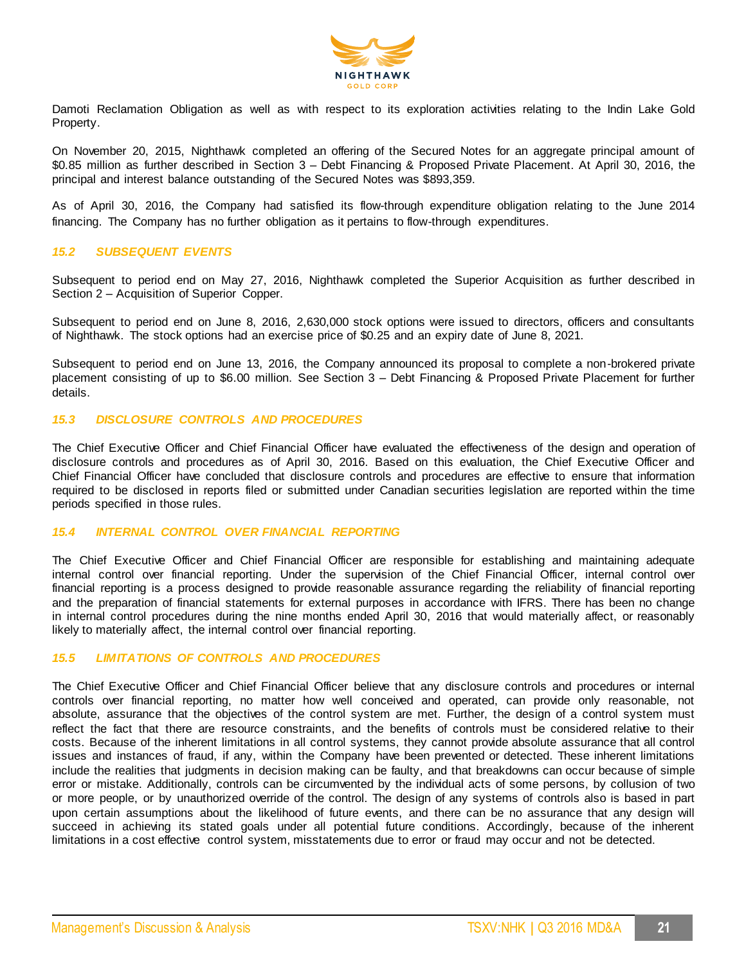

Damoti Reclamation Obligation as well as with respect to its exploration activities relating to the Indin Lake Gold Property.

On November 20, 2015, Nighthawk completed an offering of the Secured Notes for an aggregate principal amount of \$0.85 million as further described in Section 3 – Debt Financing & Proposed Private Placement. At April 30, 2016, the principal and interest balance outstanding of the Secured Notes was \$893,359.

As of April 30, 2016, the Company had satisfied its flow-through expenditure obligation relating to the June 2014 financing. The Company has no further obligation as it pertains to flow-through expenditures.

# *15.2 SUBSEQUENT EVENTS*

Subsequent to period end on May 27, 2016, Nighthawk completed the Superior Acquisition as further described in Section 2 – Acquisition of Superior Copper.

Subsequent to period end on June 8, 2016, 2,630,000 stock options were issued to directors, officers and consultants of Nighthawk. The stock options had an exercise price of \$0.25 and an expiry date of June 8, 2021.

Subsequent to period end on June 13, 2016, the Company announced its proposal to complete a non-brokered private placement consisting of up to \$6.00 million. See Section 3 – Debt Financing & Proposed Private Placement for further details.

# *15.3 DISCLOSURE CONTROLS AND PROCEDURES*

The Chief Executive Officer and Chief Financial Officer have evaluated the effectiveness of the design and operation of disclosure controls and procedures as of April 30, 2016. Based on this evaluation, the Chief Executive Officer and Chief Financial Officer have concluded that disclosure controls and procedures are effective to ensure that information required to be disclosed in reports filed or submitted under Canadian securities legislation are reported within the time periods specified in those rules.

#### *15.4 INTERNAL CONTROL OVER FINANCIAL REPORTING*

The Chief Executive Officer and Chief Financial Officer are responsible for establishing and maintaining adequate internal control over financial reporting. Under the supervision of the Chief Financial Officer, internal control over financial reporting is a process designed to provide reasonable assurance regarding the reliability of financial reporting and the preparation of financial statements for external purposes in accordance with IFRS. There has been no change in internal control procedures during the nine months ended April 30, 2016 that would materially affect, or reasonably likely to materially affect, the internal control over financial reporting.

# *15.5 LIMITATIONS OF CONTROLS AND PROCEDURES*

The Chief Executive Officer and Chief Financial Officer believe that any disclosure controls and procedures or internal controls over financial reporting, no matter how well conceived and operated, can provide only reasonable, not absolute, assurance that the objectives of the control system are met. Further, the design of a control system must reflect the fact that there are resource constraints, and the benefits of controls must be considered relative to their costs. Because of the inherent limitations in all control systems, they cannot provide absolute assurance that all control issues and instances of fraud, if any, within the Company have been prevented or detected. These inherent limitations include the realities that judgments in decision making can be faulty, and that breakdowns can occur because of simple error or mistake. Additionally, controls can be circumvented by the individual acts of some persons, by collusion of two or more people, or by unauthorized override of the control. The design of any systems of controls also is based in part upon certain assumptions about the likelihood of future events, and there can be no assurance that any design will succeed in achieving its stated goals under all potential future conditions. Accordingly, because of the inherent limitations in a cost effective control system, misstatements due to error or fraud may occur and not be detected.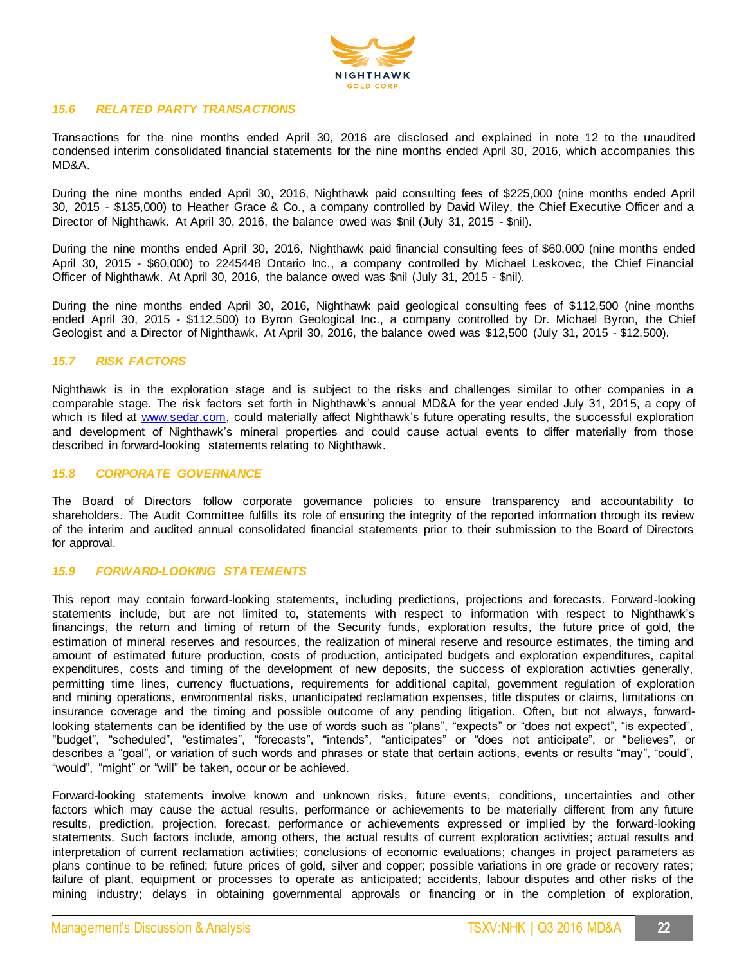

### *15.6 RELATED PARTY TRANSACTIONS*

Transactions for the nine months ended April 30, 2016 are disclosed and explained in note 12 to the unaudited condensed interim consolidated financial statements for the nine months ended April 30, 2016, which accompanies this MD&A.

During the nine months ended April 30, 2016, Nighthawk paid consulting fees of \$225,000 (nine months ended April 30, 2015 - \$135,000) to Heather Grace & Co., a company controlled by David Wiley, the Chief Executive Officer and a Director of Nighthawk. At April 30, 2016, the balance owed was \$nil (July 31, 2015 - \$nil).

During the nine months ended April 30, 2016, Nighthawk paid financial consulting fees of \$60,000 (nine months ended April 30, 2015 - \$60,000) to 2245448 Ontario Inc., a company controlled by Michael Leskovec, the Chief Financial Officer of Nighthawk. At April 30, 2016, the balance owed was \$nil (July 31, 2015 - \$nil).

During the nine months ended April 30, 2016, Nighthawk paid geological consulting fees of \$112,500 (nine months ended April 30, 2015 - \$112,500) to Byron Geological Inc., a company controlled by Dr. Michael Byron, the Chief Geologist and a Director of Nighthawk. At April 30, 2016, the balance owed was \$12,500 (July 31, 2015 - \$12,500).

# *15.7 RISK FACTORS*

Nighthawk is in the exploration stage and is subject to the risks and challenges similar to other companies in a comparable stage. The risk factors set forth in Nighthawk's annual MD&A for the year ended July 31, 2015, a copy of which is filed a[t www.sedar.com,](http://www.sedar.com/) could materially affect Nighthawk's future operating results, the successful exploration and development of Nighthawk's mineral properties and could cause actual events to differ materially from those described in forward-looking statements relating to Nighthawk.

### *15.8 CORPORATE GOVERNANCE*

The Board of Directors follow corporate governance policies to ensure transparency and accountability to shareholders. The Audit Committee fulfills its role of ensuring the integrity of the reported information through its review of the interim and audited annual consolidated financial statements prior to their submission to the Board of Directors for approval.

### *15.9 FORWARD-LOOKING STATEMENTS*

This report may contain forward-looking statements, including predictions, projections and forecasts. Forward-looking statements include, but are not limited to, statements with respect to information with respect to Nighthawk's financings, the return and timing of return of the Security funds, exploration results, the future price of gold, the estimation of mineral reserves and resources, the realization of mineral reserve and resource estimates, the timing and amount of estimated future production, costs of production, anticipated budgets and exploration expenditures, capital expenditures, costs and timing of the development of new deposits, the success of exploration activities generally, permitting time lines, currency fluctuations, requirements for additional capital, government regulation of exploration and mining operations, environmental risks, unanticipated reclamation expenses, title disputes or claims, limitations on insurance coverage and the timing and possible outcome of any pending litigation. Often, but not always, forwardlooking statements can be identified by the use of words such as "plans", "expects" or "does not expect", "is expected", "budget", "scheduled", "estimates", "forecasts", "intends", "anticipates" or "does not anticipate", or "believes", or describes a "goal", or variation of such words and phrases or state that certain actions, events or results "may", "could", "would", "might" or "will" be taken, occur or be achieved.

Forward-looking statements involve known and unknown risks, future events, conditions, uncertainties and other factors which may cause the actual results, performance or achievements to be materially different from any future results, prediction, projection, forecast, performance or achievements expressed or implied by the forward-looking statements. Such factors include, among others, the actual results of current exploration activities; actual results and interpretation of current reclamation activities; conclusions of economic evaluations; changes in project parameters as plans continue to be refined; future prices of gold, silver and copper; possible variations in ore grade or recovery rates; failure of plant, equipment or processes to operate as anticipated; accidents, labour disputes and other risks of the mining industry; delays in obtaining governmental approvals or financing or in the completion of exploration,